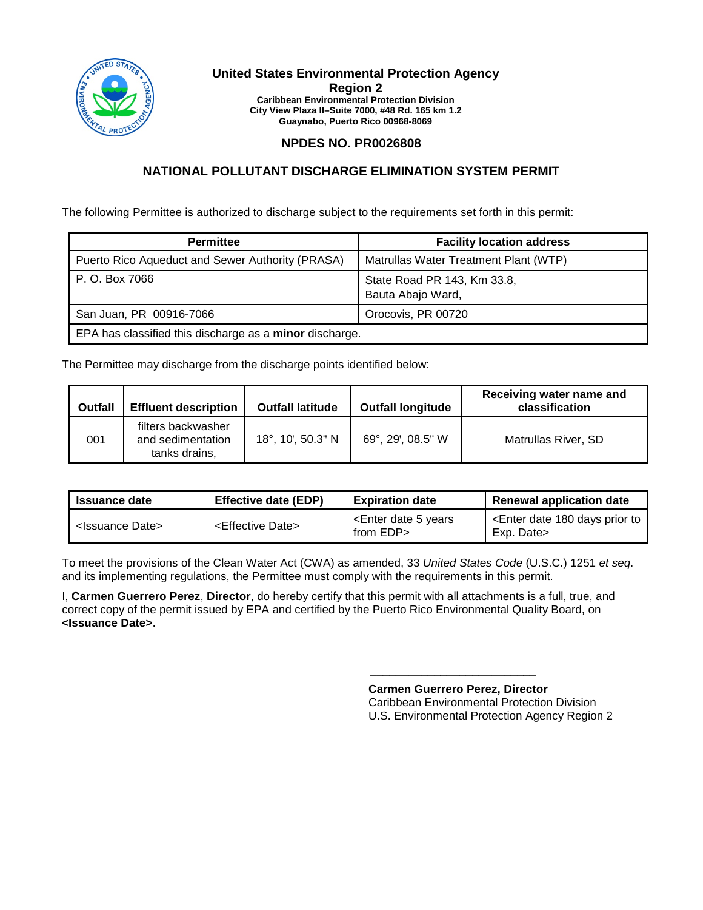

#### **United States Environmental Protection Agency Region 2 Caribbean Environmental Protection Division City View Plaza II–Suite 7000, #48 Rd. 165 km 1.2 Guaynabo, Puerto Rico 00968-8069**

# **NPDES NO. PR0026808**

# **NATIONAL POLLUTANT DISCHARGE ELIMINATION SYSTEM PERMIT**

The following Permittee is authorized to discharge subject to the requirements set forth in this permit:

| <b>Permittee</b>                                        | <b>Facility location address</b>                 |  |  |
|---------------------------------------------------------|--------------------------------------------------|--|--|
| Puerto Rico Aqueduct and Sewer Authority (PRASA)        | Matrullas Water Treatment Plant (WTP)            |  |  |
| P. O. Box 7066                                          | State Road PR 143, Km 33.8,<br>Bauta Abajo Ward, |  |  |
| San Juan, PR 00916-7066                                 | Orocovis, PR 00720                               |  |  |
| EPA has classified this discharge as a minor discharge. |                                                  |  |  |

The Permittee may discharge from the discharge points identified below:

| <b>Outfall</b> | <b>Effluent description</b>                              | <b>Outfall latitude</b> | <b>Outfall longitude</b> | Receiving water name and<br>classification |
|----------------|----------------------------------------------------------|-------------------------|--------------------------|--------------------------------------------|
| 001            | filters backwasher<br>and sedimentation<br>tanks drains, | 18°, 10', 50.3" N       | 69°, 29', 08.5" W        | Matrullas River, SD                        |

| <b>Issuance date</b>          | <b>Effective date (EDP)</b>     | <b>Expiration date</b>                               | Renewal application date                                              |
|-------------------------------|---------------------------------|------------------------------------------------------|-----------------------------------------------------------------------|
| <lssuance date=""></lssuance> | <effective date=""></effective> | <enter 5="" date="" years<br="">from EDP&gt;</enter> | <enter 180="" date="" days="" prior="" to<br="">Exp. Date&gt;</enter> |

To meet the provisions of the Clean Water Act (CWA) as amended, 33 *United States Code* (U.S.C.) 1251 *et seq*. and its implementing regulations, the Permittee must comply with the requirements in this permit.

I, **Carmen Guerrero Perez**, **Director**, do hereby certify that this permit with all attachments is a full, true, and correct copy of the permit issued by EPA and certified by the Puerto Rico Environmental Quality Board, on **<Issuance Date>**.

> **Carmen Guerrero Perez, Director**  Caribbean Environmental Protection Division U.S. Environmental Protection Agency Region 2

\_\_\_\_\_\_\_\_\_\_\_\_\_\_\_\_\_\_\_\_\_\_\_\_\_\_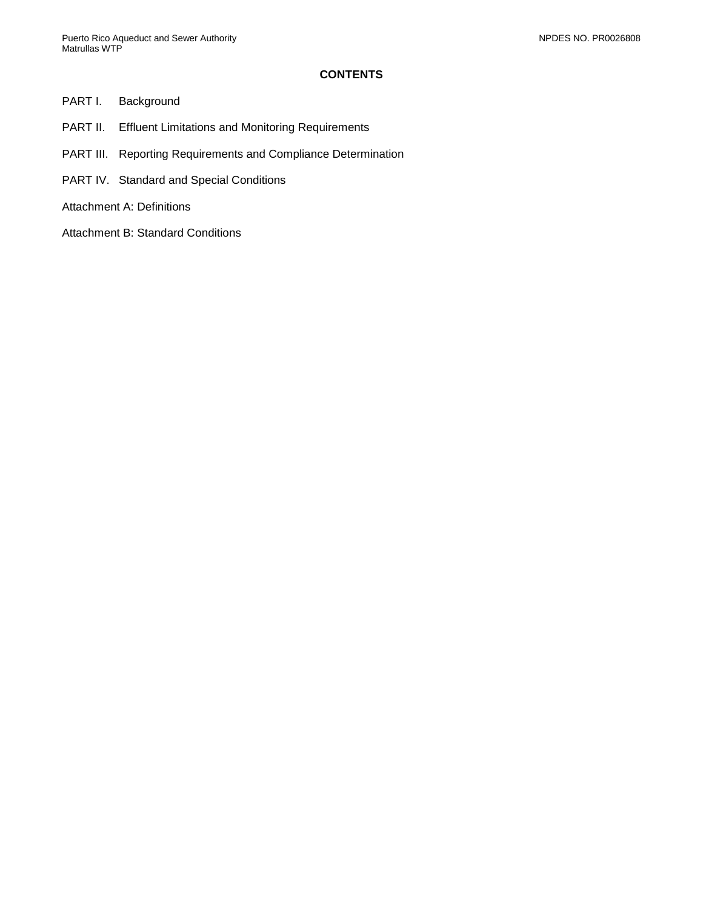## **CONTENTS**

### PART I. [Background](#page-2-0)

- PART II. [Effluent Limitations and Monitoring Requirements](#page-3-0)
- PART III. [Reporting Requirements and Compliance Determination](#page-5-0)
- PART IV. [Standard and Special Conditions](#page-7-0)
- [Attachment A: Definitions](#page-11-0)
- [Attachment B: Standard Conditions](#page-15-0)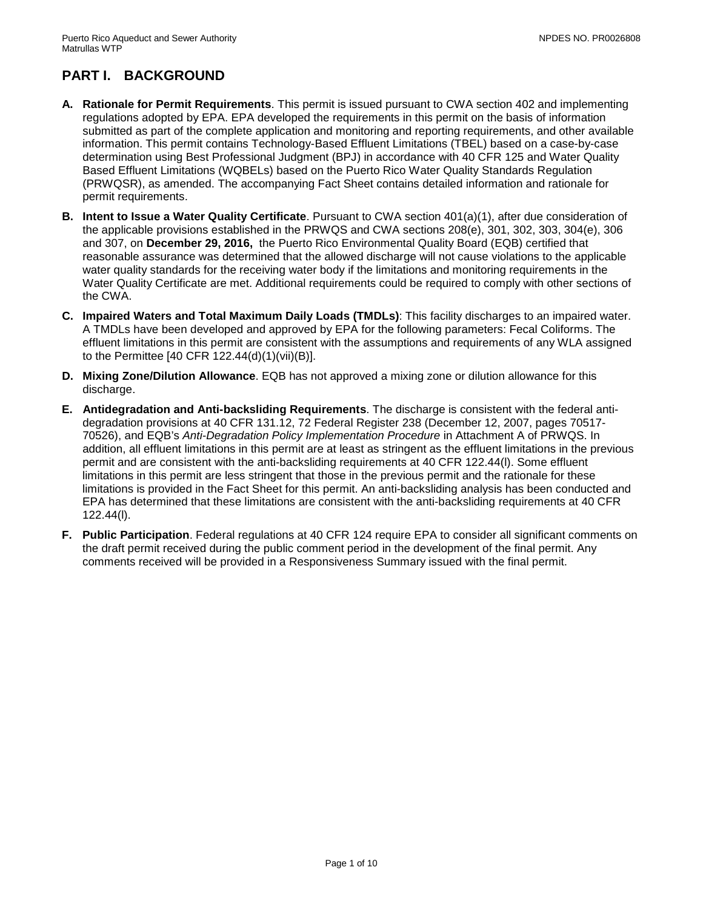# <span id="page-2-0"></span>**PART I. BACKGROUND**

- **A. Rationale for Permit Requirements**. This permit is issued pursuant to CWA section 402 and implementing regulations adopted by EPA. EPA developed the requirements in this permit on the basis of information submitted as part of the complete application and monitoring and reporting requirements, and other available information. This permit contains Technology-Based Effluent Limitations (TBEL) based on a case-by-case determination using Best Professional Judgment (BPJ) in accordance with 40 CFR 125 and Water Quality Based Effluent Limitations (WQBELs) based on the Puerto Rico Water Quality Standards Regulation (PRWQSR), as amended. The accompanying Fact Sheet contains detailed information and rationale for permit requirements.
- **B. Intent to Issue a Water Quality Certificate**. Pursuant to CWA section 401(a)(1), after due consideration of the applicable provisions established in the PRWQS and CWA sections 208(e), 301, 302, 303, 304(e), 306 and 307, on **December 29, 2016,** the Puerto Rico Environmental Quality Board (EQB) certified that reasonable assurance was determined that the allowed discharge will not cause violations to the applicable water quality standards for the receiving water body if the limitations and monitoring requirements in the Water Quality Certificate are met. Additional requirements could be required to comply with other sections of the CWA.
- **C. Impaired Waters and Total Maximum Daily Loads (TMDLs)**: This facility discharges to an impaired water. A TMDLs have been developed and approved by EPA for the following parameters: Fecal Coliforms. The effluent limitations in this permit are consistent with the assumptions and requirements of any WLA assigned to the Permittee [40 CFR 122.44(d)(1)(vii)(B)].
- **D. Mixing Zone/Dilution Allowance**. EQB has not approved a mixing zone or dilution allowance for this discharge.
- **E. Antidegradation and Anti-backsliding Requirements**. The discharge is consistent with the federal antidegradation provisions at 40 CFR 131.12, 72 Federal Register 238 (December 12, 2007, pages 70517- 70526), and EQB's *Anti-Degradation Policy Implementation Procedure* in Attachment A of PRWQS. In addition, all effluent limitations in this permit are at least as stringent as the effluent limitations in the previous permit and are consistent with the anti-backsliding requirements at 40 CFR 122.44(l). Some effluent limitations in this permit are less stringent that those in the previous permit and the rationale for these limitations is provided in the Fact Sheet for this permit. An anti-backsliding analysis has been conducted and EPA has determined that these limitations are consistent with the anti-backsliding requirements at 40 CFR 122.44(l).
- **F. Public Participation**. Federal regulations at 40 CFR 124 require EPA to consider all significant comments on the draft permit received during the public comment period in the development of the final permit. Any comments received will be provided in a Responsiveness Summary issued with the final permit.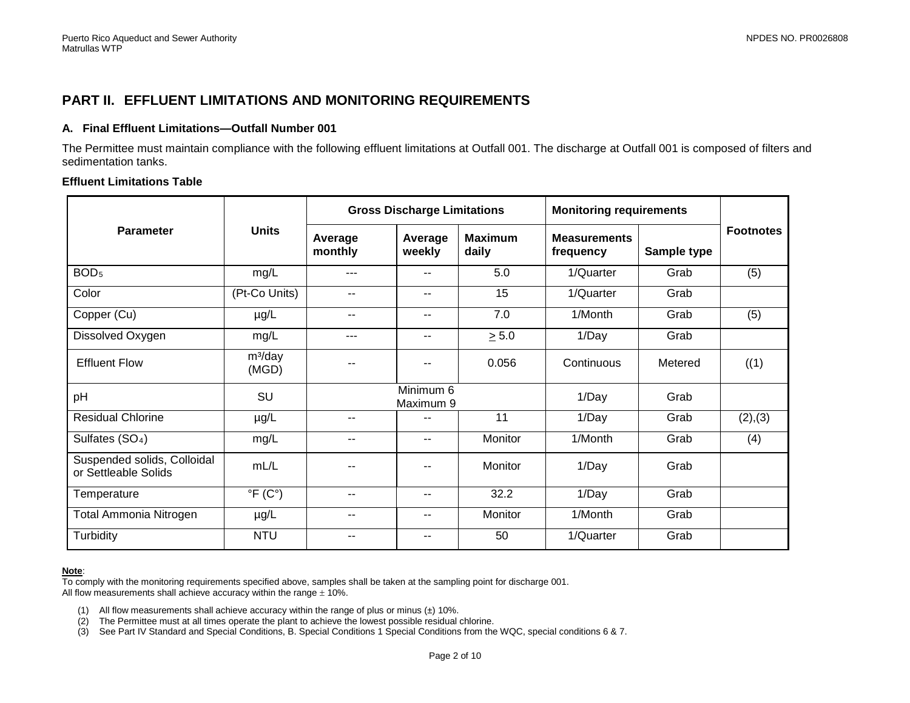# **PART II. EFFLUENT LIMITATIONS AND MONITORING REQUIREMENTS**

### **A. Final Effluent Limitations—Outfall Number 001**

The Permittee must maintain compliance with the following effluent limitations at Outfall 001. The discharge at Outfall 001 is composed of filters and sedimentation tanks.

### **Effluent Limitations Table**

<span id="page-3-0"></span>

|                                                     | <b>Units</b>              | <b>Gross Discharge Limitations</b> |                          |                         | <b>Monitoring requirements</b>   |             |                  |
|-----------------------------------------------------|---------------------------|------------------------------------|--------------------------|-------------------------|----------------------------------|-------------|------------------|
| <b>Parameter</b>                                    |                           | Average<br>monthly                 | Average<br>weekly        | <b>Maximum</b><br>daily | <b>Measurements</b><br>frequency | Sample type | <b>Footnotes</b> |
| BOD <sub>5</sub>                                    | mg/L                      | ---                                | $\overline{\phantom{a}}$ | 5.0                     | 1/Quarter                        | Grab        | (5)              |
| Color                                               | (Pt-Co Units)             | $- -$                              | $\overline{\phantom{a}}$ | 15                      | 1/Quarter                        | Grab        |                  |
| Copper (Cu)                                         | µg/L                      | $- -$                              | $\overline{\phantom{a}}$ | 7.0                     | 1/Month                          | Grab        | (5)              |
| Dissolved Oxygen                                    | mg/L                      | ---                                | $\overline{\phantom{a}}$ | $\geq 5.0$              | 1/Day                            | Grab        |                  |
| <b>Effluent Flow</b>                                | $m^3$ /day<br>(MGD)       |                                    |                          | 0.056                   | Continuous                       | Metered     | ((1)             |
| pH                                                  | SU                        |                                    | Minimum 6<br>Maximum 9   |                         | 1/Day                            | Grab        |                  |
| <b>Residual Chlorine</b>                            | $\mu$ g/L                 | $- -$                              | $-$                      | 11                      | 1/Day                            | Grab        | (2), (3)         |
| Sulfates (SO <sub>4</sub> )                         | mg/L                      | $- -$                              | $\sim$ $-$               | Monitor                 | 1/Month                          | Grab        | (4)              |
| Suspended solids, Colloidal<br>or Settleable Solids | mL/L                      |                                    |                          | Monitor                 | 1/Day                            | Grab        |                  |
| Temperature                                         | $\overline{P(C^{\circ})}$ | $- -$                              | $\overline{\phantom{a}}$ | 32.2                    | 1/Day                            | Grab        |                  |
| <b>Total Ammonia Nitrogen</b>                       | $\mu$ g/L                 | $- -$                              | $\overline{\phantom{a}}$ | Monitor                 | 1/Month                          | Grab        |                  |
| Turbidity                                           | <b>NTU</b>                | --                                 | $-$                      | 50                      | 1/Quarter                        | Grab        |                  |

#### **Note**:

To comply with the monitoring requirements specified above, samples shall be taken at the sampling point for discharge 001. All flow measurements shall achieve accuracy within the range  $\pm$  10%.

- (1) All flow measurements shall achieve accuracy within the range of plus or minus  $(\pm)$  10%.<br>(2) The Permittee must at all times operate the plant to achieve the lowest possible residual
- The Permittee must at all times operate the plant to achieve the lowest possible residual chlorine.
- (3) See Part IV Standard and Special Conditions, B. Special Conditions 1 Special Conditions from the WQC, special conditions 6 & 7.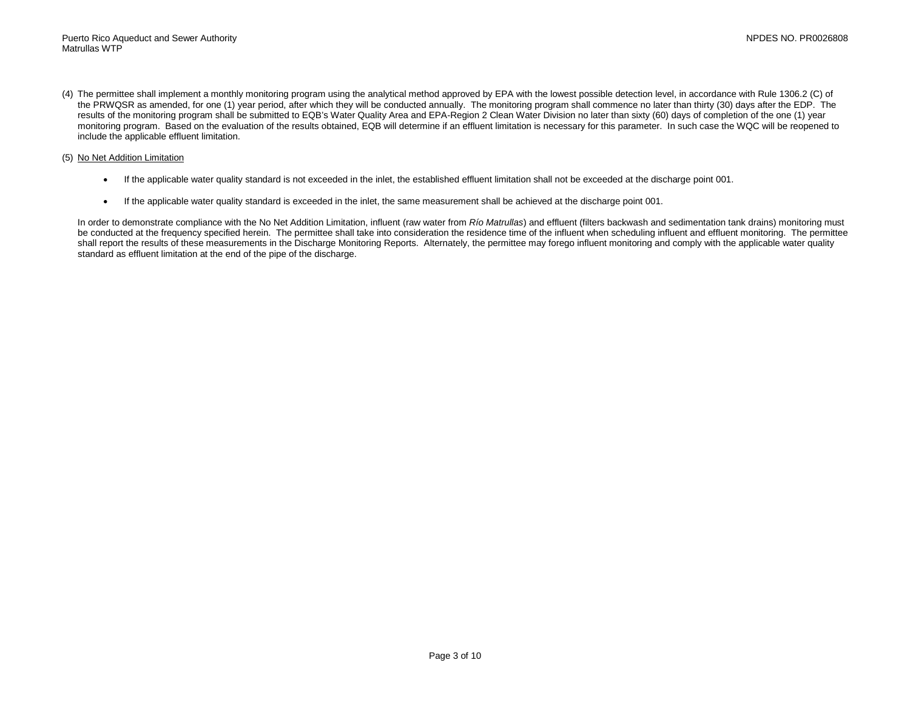(4) The permittee shall implement a monthly monitoring program using the analytical method approved by EPA with the lowest possible detection level, in accordance with Rule 1306.2 (C) of the PRWQSR as amended, for one (1) year period, after which they will be conducted annually. The monitoring program shall commence no later than thirty (30) days after the EDP. The results of the monitoring program shall be submitted to EQB's Water Quality Area and EPA-Region 2 Clean Water Division no later than sixty (60) days of completion of the one (1) year monitoring program. Based on the evaluation of the results obtained, EQB will determine if an effluent limitation is necessary for this parameter. In such case the WQC will be reopened to include the applicable effluent limitation.

#### (5) No Net Addition Limitation

- If the applicable water quality standard is not exceeded in the inlet, the established effluent limitation shall not be exceeded at the discharge point 001.
- If the applicable water quality standard is exceeded in the inlet, the same measurement shall be achieved at the discharge point 001.

In order to demonstrate compliance with the No Net Addition Limitation, influent (raw water from *Río Matrullas*) and effluent (filters backwash and sedimentation tank drains) monitoring must be conducted at the frequency specified herein. The permittee shall take into consideration the residence time of the influent when scheduling influent and effluent monitoring. The permittee shall report the results of these measurements in the Discharge Monitoring Reports. Alternately, the permittee may forego influent monitoring and comply with the applicable water quality standard as effluent limitation at the end of the pipe of the discharge.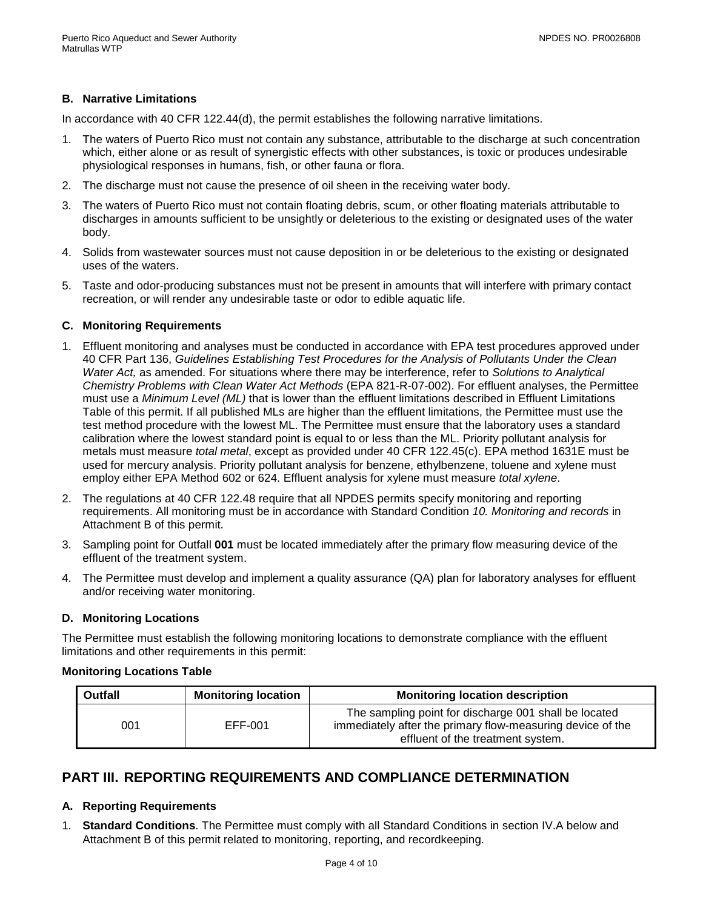# **B. Narrative Limitations**

In accordance with 40 CFR 122.44(d), the permit establishes the following narrative limitations.

- 1. The waters of Puerto Rico must not contain any substance, attributable to the discharge at such concentration which, either alone or as result of synergistic effects with other substances, is toxic or produces undesirable physiological responses in humans, fish, or other fauna or flora.
- 2. The discharge must not cause the presence of oil sheen in the receiving water body.
- 3. The waters of Puerto Rico must not contain floating debris, scum, or other floating materials attributable to discharges in amounts sufficient to be unsightly or deleterious to the existing or designated uses of the water body.
- 4. Solids from wastewater sources must not cause deposition in or be deleterious to the existing or designated uses of the waters.
- 5. Taste and odor-producing substances must not be present in amounts that will interfere with primary contact recreation, or will render any undesirable taste or odor to edible aquatic life.

### **C. Monitoring Requirements**

- 1. Effluent monitoring and analyses must be conducted in accordance with EPA test procedures approved under 40 CFR Part 136, *Guidelines Establishing Test Procedures for the Analysis of Pollutants Under the Clean Water Act,* as amended. For situations where there may be interference, refer to *Solutions to Analytical Chemistry Problems with Clean Water Act Methods* (EPA 821-R-07-002). For effluent analyses, the Permittee must use a *Minimum Level (ML)* that is lower than the effluent limitations described in Effluent Limitations Table of this permit. If all published MLs are higher than the effluent limitations, the Permittee must use the test method procedure with the lowest ML. The Permittee must ensure that the laboratory uses a standard calibration where the lowest standard point is equal to or less than the ML. Priority pollutant analysis for metals must measure *total metal*, except as provided under 40 CFR 122.45(c). EPA method 1631E must be used for mercury analysis. Priority pollutant analysis for benzene, ethylbenzene, toluene and xylene must employ either EPA Method 602 or 624. Effluent analysis for xylene must measure *total xylene*.
- 2. The regulations at 40 CFR 122.48 require that all NPDES permits specify monitoring and reporting requirements. All monitoring must be in accordance with Standard Condition *10. Monitoring and records* in Attachment B of this permit.
- 3. Sampling point for Outfall **001** must be located immediately after the primary flow measuring device of the effluent of the treatment system.
- 4. The Permittee must develop and implement a quality assurance (QA) plan for laboratory analyses for effluent and/or receiving water monitoring.

### **D. Monitoring Locations**

The Permittee must establish the following monitoring locations to demonstrate compliance with the effluent limitations and other requirements in this permit:

### **Monitoring Locations Table**

| <b>Outfall</b> | <b>Monitoring location</b> | <b>Monitoring location description</b>                                                                                                                   |  |  |
|----------------|----------------------------|----------------------------------------------------------------------------------------------------------------------------------------------------------|--|--|
| 001            | EFF-001                    | The sampling point for discharge 001 shall be located<br>immediately after the primary flow-measuring device of the<br>effluent of the treatment system. |  |  |

# <span id="page-5-0"></span>**PART III. REPORTING REQUIREMENTS AND COMPLIANCE DETERMINATION**

### **A. Reporting Requirements**

1. **Standard Conditions**. The Permittee must comply with all Standard Conditions in section IV.A below and Attachment B of this permit related to monitoring, reporting, and recordkeeping.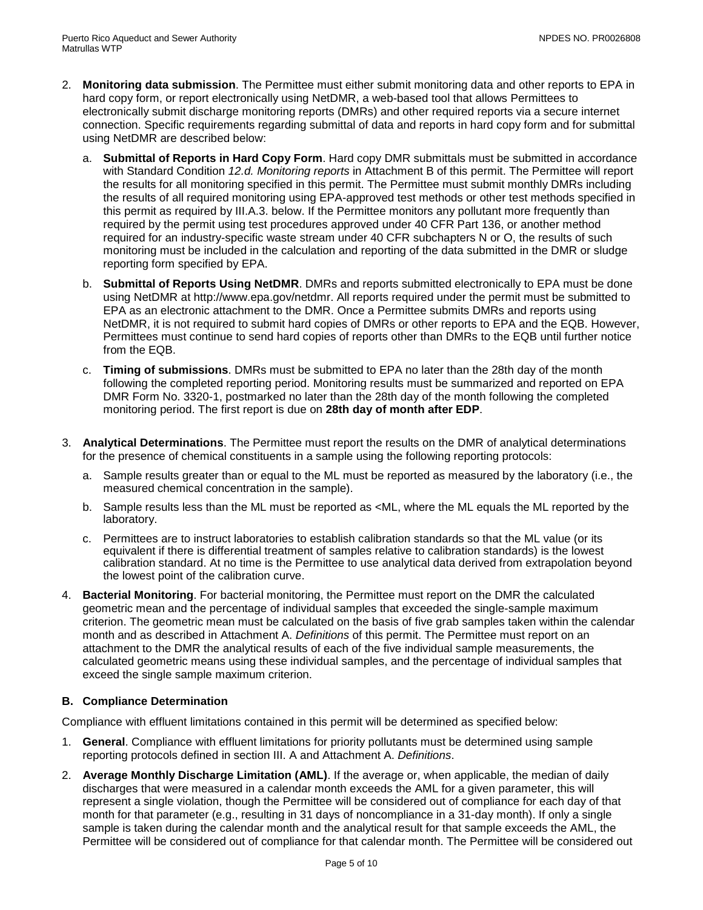- 2. **Monitoring data submission**. The Permittee must either submit monitoring data and other reports to EPA in hard copy form, or report electronically using NetDMR, a web-based tool that allows Permittees to electronically submit discharge monitoring reports (DMRs) and other required reports via a secure internet connection. Specific requirements regarding submittal of data and reports in hard copy form and for submittal using NetDMR are described below:
	- a. **Submittal of Reports in Hard Copy Form**. Hard copy DMR submittals must be submitted in accordance with Standard Condition *12.d. Monitoring reports* in Attachment B of this permit. The Permittee will report the results for all monitoring specified in this permit. The Permittee must submit monthly DMRs including the results of all required monitoring using EPA-approved test methods or other test methods specified in this permit as required by III.A.3. below. If the Permittee monitors any pollutant more frequently than required by the permit using test procedures approved under 40 CFR Part 136, or another method required for an industry-specific waste stream under 40 CFR subchapters N or O, the results of such monitoring must be included in the calculation and reporting of the data submitted in the DMR or sludge reporting form specified by EPA.
	- b. **Submittal of Reports Using NetDMR**. DMRs and reports submitted electronically to EPA must be done using NetDMR at http://www.epa.gov/netdmr. All reports required under the permit must be submitted to EPA as an electronic attachment to the DMR. Once a Permittee submits DMRs and reports using NetDMR, it is not required to submit hard copies of DMRs or other reports to EPA and the EQB. However, Permittees must continue to send hard copies of reports other than DMRs to the EQB until further notice from the EQB.
	- c. **Timing of submissions**. DMRs must be submitted to EPA no later than the 28th day of the month following the completed reporting period. Monitoring results must be summarized and reported on EPA DMR Form No. 3320-1, postmarked no later than the 28th day of the month following the completed monitoring period. The first report is due on **28th day of month after EDP**.
- 3. **Analytical Determinations**. The Permittee must report the results on the DMR of analytical determinations for the presence of chemical constituents in a sample using the following reporting protocols:
	- a. Sample results greater than or equal to the ML must be reported as measured by the laboratory (i.e., the measured chemical concentration in the sample).
	- b. Sample results less than the ML must be reported as <ML, where the ML equals the ML reported by the laboratory.
	- c. Permittees are to instruct laboratories to establish calibration standards so that the ML value (or its equivalent if there is differential treatment of samples relative to calibration standards) is the lowest calibration standard. At no time is the Permittee to use analytical data derived from extrapolation beyond the lowest point of the calibration curve.
- 4. **Bacterial Monitoring**. For bacterial monitoring, the Permittee must report on the DMR the calculated geometric mean and the percentage of individual samples that exceeded the single-sample maximum criterion. The geometric mean must be calculated on the basis of five grab samples taken within the calendar month and as described in Attachment A. *Definitions* of this permit. The Permittee must report on an attachment to the DMR the analytical results of each of the five individual sample measurements, the calculated geometric means using these individual samples, and the percentage of individual samples that exceed the single sample maximum criterion.

### **B. Compliance Determination**

Compliance with effluent limitations contained in this permit will be determined as specified below:

- 1. **General**. Compliance with effluent limitations for priority pollutants must be determined using sample reporting protocols defined in section III. A and Attachment A. *Definitions*.
- 2. **Average Monthly Discharge Limitation (AML)**. If the average or, when applicable, the median of daily discharges that were measured in a calendar month exceeds the AML for a given parameter, this will represent a single violation, though the Permittee will be considered out of compliance for each day of that month for that parameter (e.g., resulting in 31 days of noncompliance in a 31-day month). If only a single sample is taken during the calendar month and the analytical result for that sample exceeds the AML, the Permittee will be considered out of compliance for that calendar month. The Permittee will be considered out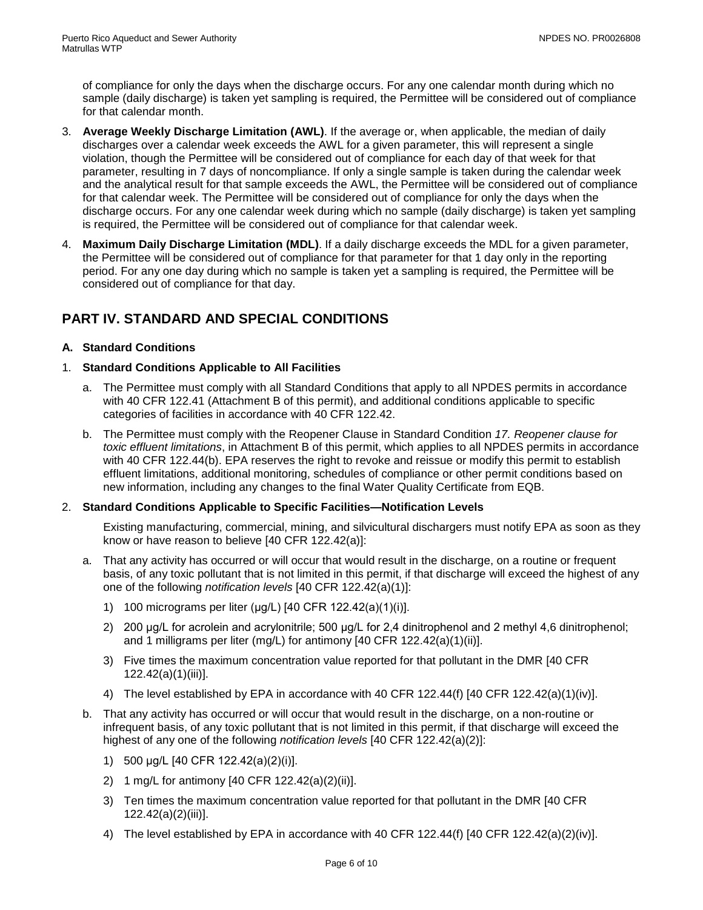of compliance for only the days when the discharge occurs. For any one calendar month during which no sample (daily discharge) is taken yet sampling is required, the Permittee will be considered out of compliance for that calendar month.

- 3. **Average Weekly Discharge Limitation (AWL)**. If the average or, when applicable, the median of daily discharges over a calendar week exceeds the AWL for a given parameter, this will represent a single violation, though the Permittee will be considered out of compliance for each day of that week for that parameter, resulting in 7 days of noncompliance. If only a single sample is taken during the calendar week and the analytical result for that sample exceeds the AWL, the Permittee will be considered out of compliance for that calendar week. The Permittee will be considered out of compliance for only the days when the discharge occurs. For any one calendar week during which no sample (daily discharge) is taken yet sampling is required, the Permittee will be considered out of compliance for that calendar week.
- 4. **Maximum Daily Discharge Limitation (MDL)**. If a daily discharge exceeds the MDL for a given parameter, the Permittee will be considered out of compliance for that parameter for that 1 day only in the reporting period. For any one day during which no sample is taken yet a sampling is required, the Permittee will be considered out of compliance for that day.

# <span id="page-7-0"></span>**PART IV. STANDARD AND SPECIAL CONDITIONS**

# **A. Standard Conditions**

### 1. **Standard Conditions Applicable to All Facilities**

- a. The Permittee must comply with all Standard Conditions that apply to all NPDES permits in accordance with 40 CFR 122.41 (Attachment B of this permit), and additional conditions applicable to specific categories of facilities in accordance with 40 CFR 122.42.
- b. The Permittee must comply with the Reopener Clause in Standard Condition *17. Reopener clause for toxic effluent limitations*, in Attachment B of this permit, which applies to all NPDES permits in accordance with 40 CFR 122.44(b). EPA reserves the right to revoke and reissue or modify this permit to establish effluent limitations, additional monitoring, schedules of compliance or other permit conditions based on new information, including any changes to the final Water Quality Certificate from EQB.

### 2. **Standard Conditions Applicable to Specific Facilities—Notification Levels**

Existing manufacturing, commercial, mining, and silvicultural dischargers must notify EPA as soon as they know or have reason to believe [40 CFR 122.42(a)]:

- a. That any activity has occurred or will occur that would result in the discharge, on a routine or frequent basis, of any toxic pollutant that is not limited in this permit, if that discharge will exceed the highest of any one of the following *notification levels* [40 CFR 122.42(a)(1)]:
	- 1) 100 micrograms per liter (μg/L) [40 CFR 122.42(a)(1)(i)].
	- 2) 200 μg/L for acrolein and acrylonitrile; 500 μg/L for 2,4 dinitrophenol and 2 methyl 4,6 dinitrophenol; and 1 milligrams per liter (mg/L) for antimony [40 CFR 122.42(a)(1)(ii)].
	- 3) Five times the maximum concentration value reported for that pollutant in the DMR [40 CFR 122.42(a)(1)(iii)].
	- 4) The level established by EPA in accordance with 40 CFR 122.44(f) [40 CFR 122.42(a)(1)(iv)].
- b. That any activity has occurred or will occur that would result in the discharge, on a non-routine or infrequent basis, of any toxic pollutant that is not limited in this permit, if that discharge will exceed the highest of any one of the following *notification levels* [40 CFR 122.42(a)(2)]:
	- 1) 500 μg/L [40 CFR 122.42(a)(2)(i)].
	- 2) 1 mg/L for antimony [40 CFR 122.42(a)(2)(ii)].
	- 3) Ten times the maximum concentration value reported for that pollutant in the DMR [40 CFR 122.42(a)(2)(iii)].
	- 4) The level established by EPA in accordance with 40 CFR 122.44(f) [40 CFR 122.42(a)(2)(iv)].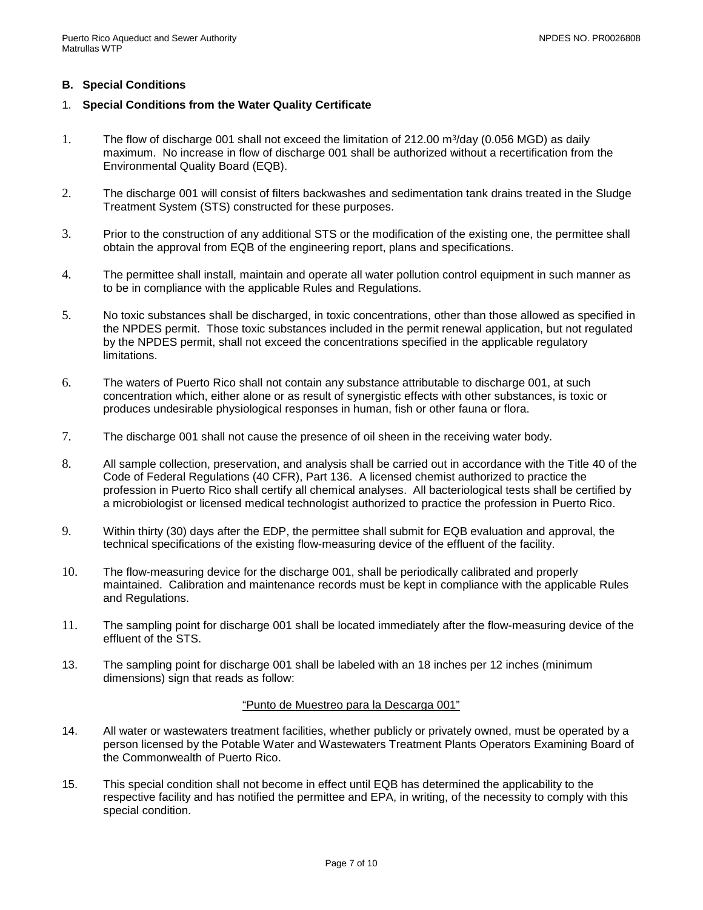## **B. Special Conditions**

### 1. **Special Conditions from the Water Quality Certificate**

- 1. The flow of discharge 001 shall not exceed the limitation of 212.00  $\mathrm{m}^3$ /day (0.056 MGD) as daily maximum. No increase in flow of discharge 001 shall be authorized without a recertification from the Environmental Quality Board (EQB).
- 2. The discharge 001 will consist of filters backwashes and sedimentation tank drains treated in the Sludge Treatment System (STS) constructed for these purposes.
- 3. Prior to the construction of any additional STS or the modification of the existing one, the permittee shall obtain the approval from EQB of the engineering report, plans and specifications.
- 4. The permittee shall install, maintain and operate all water pollution control equipment in such manner as to be in compliance with the applicable Rules and Regulations.
- 5. No toxic substances shall be discharged, in toxic concentrations, other than those allowed as specified in the NPDES permit. Those toxic substances included in the permit renewal application, but not regulated by the NPDES permit, shall not exceed the concentrations specified in the applicable regulatory limitations.
- 6. The waters of Puerto Rico shall not contain any substance attributable to discharge 001, at such concentration which, either alone or as result of synergistic effects with other substances, is toxic or produces undesirable physiological responses in human, fish or other fauna or flora.
- 7. The discharge 001 shall not cause the presence of oil sheen in the receiving water body.
- 8. All sample collection, preservation, and analysis shall be carried out in accordance with the Title 40 of the Code of Federal Regulations (40 CFR), Part 136. A licensed chemist authorized to practice the profession in Puerto Rico shall certify all chemical analyses. All bacteriological tests shall be certified by a microbiologist or licensed medical technologist authorized to practice the profession in Puerto Rico.
- 9. Within thirty (30) days after the EDP, the permittee shall submit for EQB evaluation and approval, the technical specifications of the existing flow-measuring device of the effluent of the facility.
- 10. The flow-measuring device for the discharge 001, shall be periodically calibrated and properly maintained. Calibration and maintenance records must be kept in compliance with the applicable Rules and Regulations.
- 11. The sampling point for discharge 001 shall be located immediately after the flow-measuring device of the effluent of the STS.
- 13. The sampling point for discharge 001 shall be labeled with an 18 inches per 12 inches (minimum dimensions) sign that reads as follow:

### "Punto de Muestreo para la Descarga 001"

- 14. All water or wastewaters treatment facilities, whether publicly or privately owned, must be operated by a person licensed by the Potable Water and Wastewaters Treatment Plants Operators Examining Board of the Commonwealth of Puerto Rico.
- 15. This special condition shall not become in effect until EQB has determined the applicability to the respective facility and has notified the permittee and EPA, in writing, of the necessity to comply with this special condition.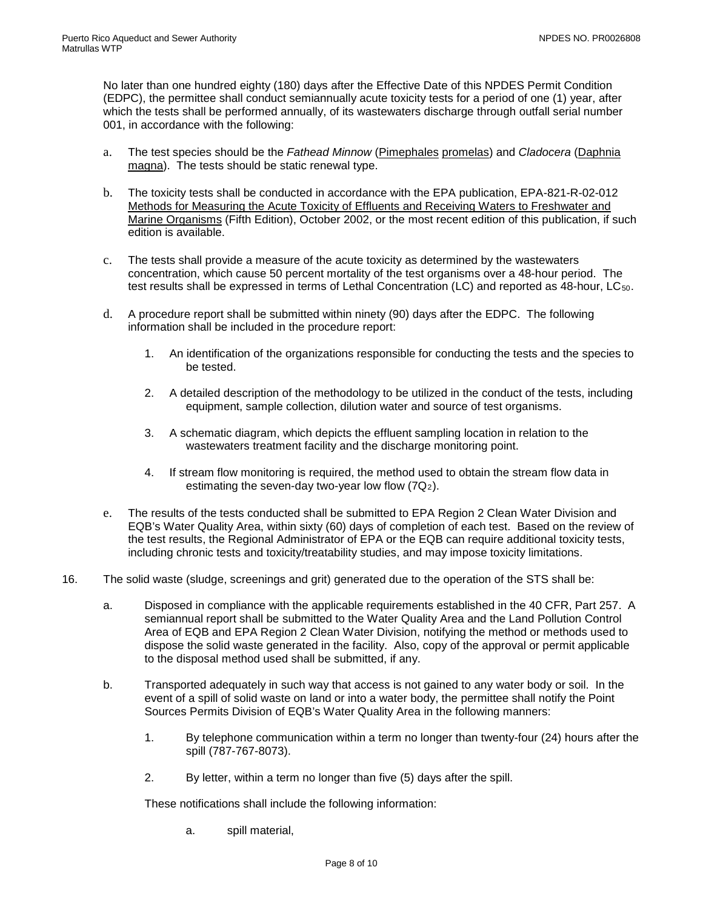No later than one hundred eighty (180) days after the Effective Date of this NPDES Permit Condition (EDPC), the permittee shall conduct semiannually acute toxicity tests for a period of one (1) year, after which the tests shall be performed annually, of its wastewaters discharge through outfall serial number 001, in accordance with the following:

- a. The test species should be the *Fathead Minnow* (Pimephales promelas) and *Cladocera* (Daphnia magna). The tests should be static renewal type.
- b. The toxicity tests shall be conducted in accordance with the EPA publication, EPA-821-R-02-012 Methods for Measuring the Acute Toxicity of Effluents and Receiving Waters to Freshwater and Marine Organisms (Fifth Edition), October 2002, or the most recent edition of this publication, if such edition is available.
- c. The tests shall provide a measure of the acute toxicity as determined by the wastewaters concentration, which cause 50 percent mortality of the test organisms over a 48-hour period. The test results shall be expressed in terms of Lethal Concentration (LC) and reported as 48-hour, LC<sub>50</sub>.
- d. A procedure report shall be submitted within ninety (90) days after the EDPC. The following information shall be included in the procedure report:
	- 1. An identification of the organizations responsible for conducting the tests and the species to be tested.
	- 2. A detailed description of the methodology to be utilized in the conduct of the tests, including equipment, sample collection, dilution water and source of test organisms.
	- 3. A schematic diagram, which depicts the effluent sampling location in relation to the wastewaters treatment facility and the discharge monitoring point.
	- 4. If stream flow monitoring is required, the method used to obtain the stream flow data in estimating the seven-day two-year low flow  $(7Q_2)$ .
- e. The results of the tests conducted shall be submitted to EPA Region 2 Clean Water Division and EQB's Water Quality Area, within sixty (60) days of completion of each test. Based on the review of the test results, the Regional Administrator of EPA or the EQB can require additional toxicity tests, including chronic tests and toxicity/treatability studies, and may impose toxicity limitations.
- 16. The solid waste (sludge, screenings and grit) generated due to the operation of the STS shall be:
	- a. Disposed in compliance with the applicable requirements established in the 40 CFR, Part 257. A semiannual report shall be submitted to the Water Quality Area and the Land Pollution Control Area of EQB and EPA Region 2 Clean Water Division, notifying the method or methods used to dispose the solid waste generated in the facility. Also, copy of the approval or permit applicable to the disposal method used shall be submitted, if any.
	- b. Transported adequately in such way that access is not gained to any water body or soil. In the event of a spill of solid waste on land or into a water body, the permittee shall notify the Point Sources Permits Division of EQB's Water Quality Area in the following manners:
		- 1. By telephone communication within a term no longer than twenty-four (24) hours after the spill (787-767-8073).
		- 2. By letter, within a term no longer than five (5) days after the spill.

These notifications shall include the following information:

a. spill material,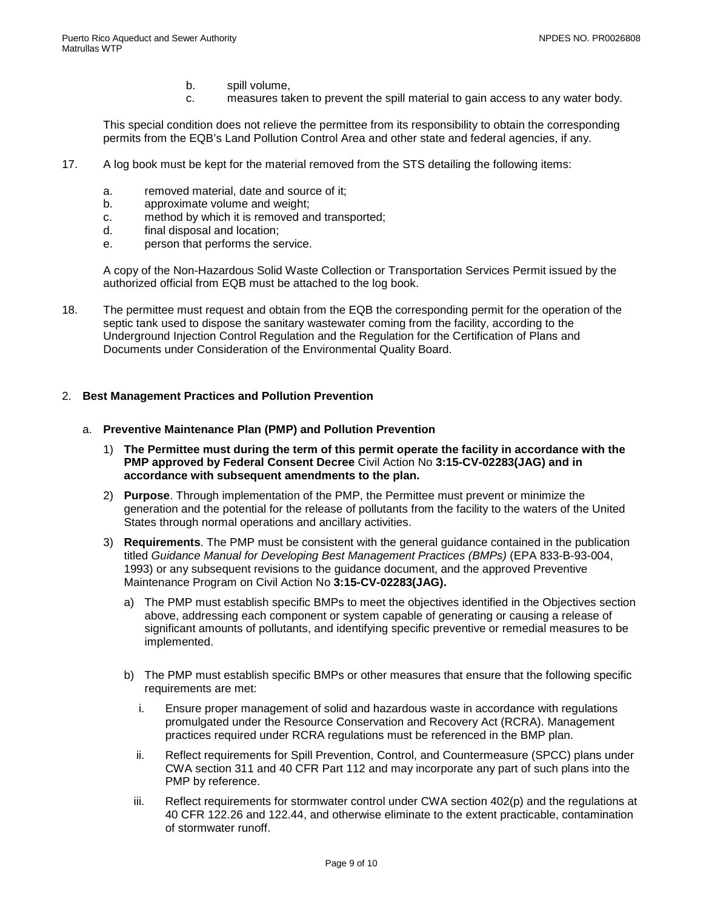- b. spill volume,
- c. measures taken to prevent the spill material to gain access to any water body.

This special condition does not relieve the permittee from its responsibility to obtain the corresponding permits from the EQB's Land Pollution Control Area and other state and federal agencies, if any.

- 17. A log book must be kept for the material removed from the STS detailing the following items:
	- a. removed material, date and source of it;
	- b. approximate volume and weight;
	- c. method by which it is removed and transported;
	- d. final disposal and location;
	- e. person that performs the service.

A copy of the Non-Hazardous Solid Waste Collection or Transportation Services Permit issued by the authorized official from EQB must be attached to the log book.

18. The permittee must request and obtain from the EQB the corresponding permit for the operation of the septic tank used to dispose the sanitary wastewater coming from the facility, according to the Underground Injection Control Regulation and the Regulation for the Certification of Plans and Documents under Consideration of the Environmental Quality Board.

### 2. **Best Management Practices and Pollution Prevention**

#### a. **Preventive Maintenance Plan (PMP) and Pollution Prevention**

- 1) **The Permittee must during the term of this permit operate the facility in accordance with the PMP approved by Federal Consent Decree** Civil Action No **3:15-CV-02283(JAG) and in accordance with subsequent amendments to the plan.**
- 2) **Purpose**. Through implementation of the PMP, the Permittee must prevent or minimize the generation and the potential for the release of pollutants from the facility to the waters of the United States through normal operations and ancillary activities.
- 3) **Requirements**. The PMP must be consistent with the general guidance contained in the publication titled *Guidance Manual for Developing Best Management Practices (BMPs)* (EPA 833-B-93-004, 1993) or any subsequent revisions to the guidance document, and the approved Preventive Maintenance Program on Civil Action No **3:15-CV-02283(JAG).**
	- a) The PMP must establish specific BMPs to meet the objectives identified in the Objectives section above, addressing each component or system capable of generating or causing a release of significant amounts of pollutants, and identifying specific preventive or remedial measures to be implemented.
	- b) The PMP must establish specific BMPs or other measures that ensure that the following specific requirements are met:
		- i. Ensure proper management of solid and hazardous waste in accordance with regulations promulgated under the Resource Conservation and Recovery Act (RCRA). Management practices required under RCRA regulations must be referenced in the BMP plan.
		- ii. Reflect requirements for Spill Prevention, Control, and Countermeasure (SPCC) plans under CWA section 311 and 40 CFR Part 112 and may incorporate any part of such plans into the PMP by reference.
		- iii. Reflect requirements for stormwater control under CWA section 402(p) and the regulations at 40 CFR 122.26 and 122.44, and otherwise eliminate to the extent practicable, contamination of stormwater runoff.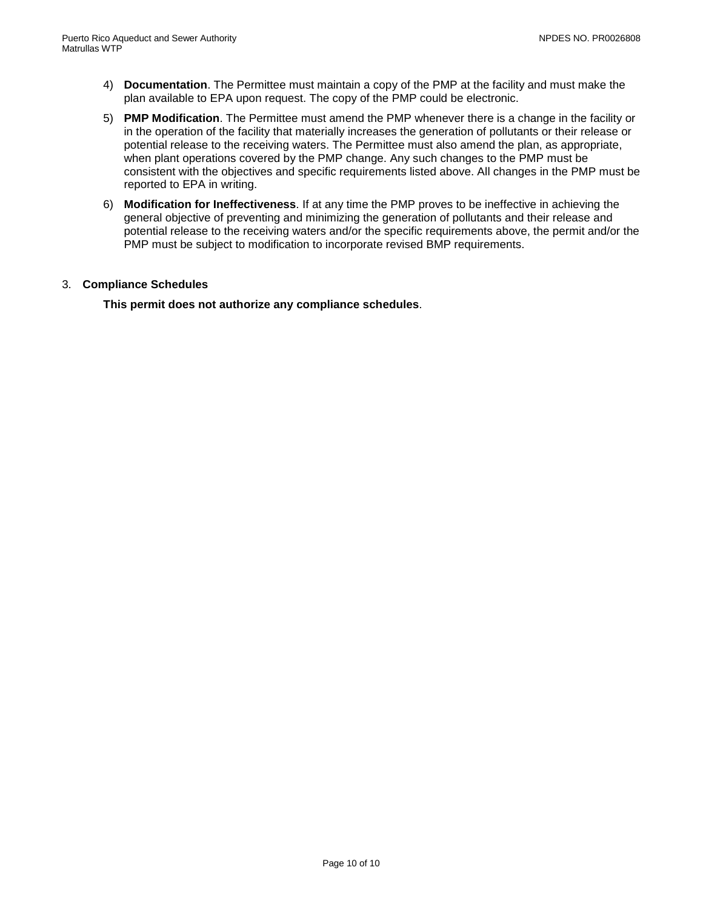- 4) **Documentation**. The Permittee must maintain a copy of the PMP at the facility and must make the plan available to EPA upon request. The copy of the PMP could be electronic.
- 5) **PMP Modification**. The Permittee must amend the PMP whenever there is a change in the facility or in the operation of the facility that materially increases the generation of pollutants or their release or potential release to the receiving waters. The Permittee must also amend the plan, as appropriate, when plant operations covered by the PMP change. Any such changes to the PMP must be consistent with the objectives and specific requirements listed above. All changes in the PMP must be reported to EPA in writing.
- 6) **Modification for Ineffectiveness**. If at any time the PMP proves to be ineffective in achieving the general objective of preventing and minimizing the generation of pollutants and their release and potential release to the receiving waters and/or the specific requirements above, the permit and/or the PMP must be subject to modification to incorporate revised BMP requirements.

### 3. **Compliance Schedules**

<span id="page-11-0"></span>**This permit does not authorize any compliance schedules**.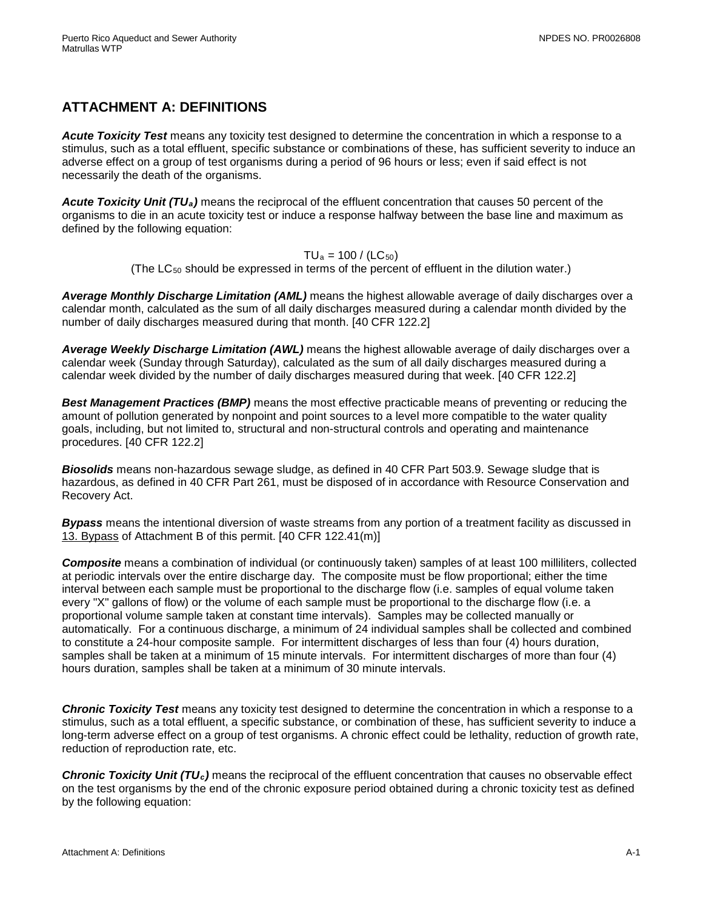# **ATTACHMENT A: DEFINITIONS**

*Acute Toxicity Test* means any toxicity test designed to determine the concentration in which a response to a stimulus, such as a total effluent, specific substance or combinations of these, has sufficient severity to induce an adverse effect on a group of test organisms during a period of 96 hours or less; even if said effect is not necessarily the death of the organisms.

*Acute Toxicity Unit (TUa)* means the reciprocal of the effluent concentration that causes 50 percent of the organisms to die in an acute toxicity test or induce a response halfway between the base line and maximum as defined by the following equation:

### $TU_a = 100 / (LC_{50})$

(The  $LC_{50}$  should be expressed in terms of the percent of effluent in the dilution water.)

*Average Monthly Discharge Limitation (AML)* means the highest allowable average of daily discharges over a calendar month, calculated as the sum of all daily discharges measured during a calendar month divided by the number of daily discharges measured during that month. [40 CFR 122.2]

*Average Weekly Discharge Limitation (AWL)* means the highest allowable average of daily discharges over a calendar week (Sunday through Saturday), calculated as the sum of all daily discharges measured during a calendar week divided by the number of daily discharges measured during that week. [40 CFR 122.2]

*Best Management Practices (BMP)* means the most effective practicable means of preventing or reducing the amount of pollution generated by nonpoint and point sources to a level more compatible to the water quality goals, including, but not limited to, structural and non-structural controls and operating and maintenance procedures. [40 CFR 122.2]

*Biosolids* means non-hazardous sewage sludge, as defined in 40 CFR Part 503.9. Sewage sludge that is hazardous, as defined in 40 CFR Part 261, must be disposed of in accordance with Resource Conservation and Recovery Act.

*Bypass* means the intentional diversion of waste streams from any portion of a treatment facility as discussed in 13. Bypass of Attachment B of this permit. [40 CFR 122.41(m)]

*Composite* means a combination of individual (or continuously taken) samples of at least 100 milliliters, collected at periodic intervals over the entire discharge day. The composite must be flow proportional; either the time interval between each sample must be proportional to the discharge flow (i.e. samples of equal volume taken every "X" gallons of flow) or the volume of each sample must be proportional to the discharge flow (i.e. a proportional volume sample taken at constant time intervals). Samples may be collected manually or automatically. For a continuous discharge, a minimum of 24 individual samples shall be collected and combined to constitute a 24-hour composite sample. For intermittent discharges of less than four (4) hours duration, samples shall be taken at a minimum of 15 minute intervals. For intermittent discharges of more than four (4) hours duration, samples shall be taken at a minimum of 30 minute intervals.

*Chronic Toxicity Test* means any toxicity test designed to determine the concentration in which a response to a stimulus, such as a total effluent, a specific substance, or combination of these, has sufficient severity to induce a long-term adverse effect on a group of test organisms. A chronic effect could be lethality, reduction of growth rate, reduction of reproduction rate, etc.

*Chronic Toxicity Unit (TUc)* means the reciprocal of the effluent concentration that causes no observable effect on the test organisms by the end of the chronic exposure period obtained during a chronic toxicity test as defined by the following equation: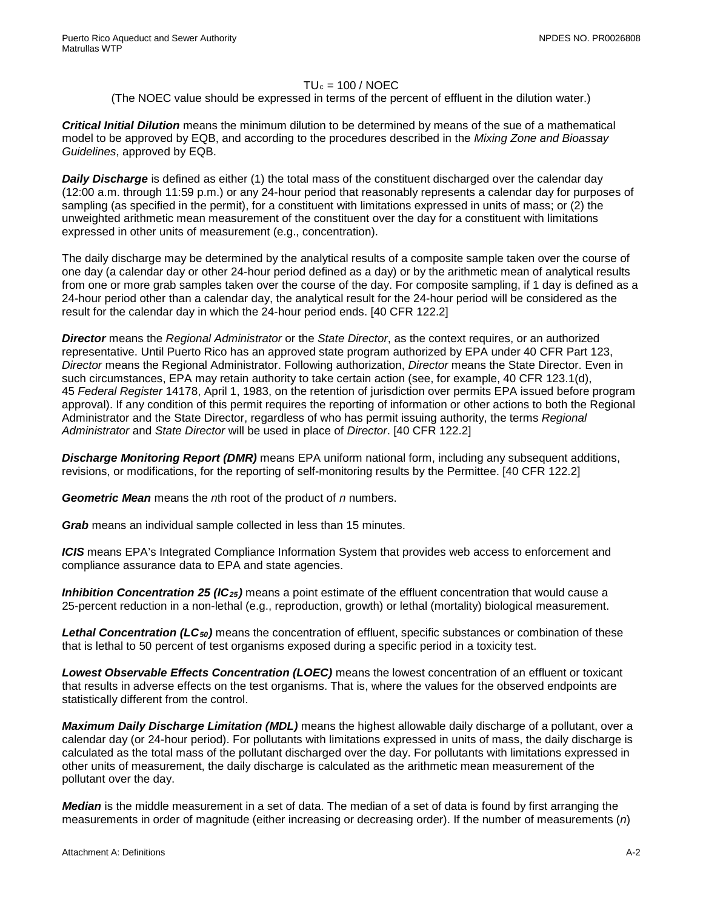### $TU_c = 100 / NOEC$

### (The NOEC value should be expressed in terms of the percent of effluent in the dilution water.)

*Critical Initial Dilution* means the minimum dilution to be determined by means of the sue of a mathematical model to be approved by EQB, and according to the procedures described in the *Mixing Zone and Bioassay Guidelines*, approved by EQB.

*Daily Discharge* is defined as either (1) the total mass of the constituent discharged over the calendar day (12:00 a.m. through 11:59 p.m.) or any 24-hour period that reasonably represents a calendar day for purposes of sampling (as specified in the permit), for a constituent with limitations expressed in units of mass; or (2) the unweighted arithmetic mean measurement of the constituent over the day for a constituent with limitations expressed in other units of measurement (e.g., concentration).

The daily discharge may be determined by the analytical results of a composite sample taken over the course of one day (a calendar day or other 24-hour period defined as a day) or by the arithmetic mean of analytical results from one or more grab samples taken over the course of the day. For composite sampling, if 1 day is defined as a 24-hour period other than a calendar day, the analytical result for the 24-hour period will be considered as the result for the calendar day in which the 24-hour period ends. [40 CFR 122.2]

*Director* means the *Regional Administrator* or the *State Director*, as the context requires, or an authorized representative. Until Puerto Rico has an approved state program authorized by EPA under 40 CFR Part 123, *Director* means the Regional Administrator. Following authorization, *Director* means the State Director. Even in such circumstances, EPA may retain authority to take certain action (see, for example, 40 CFR 123.1(d), 45 *Federal Register* 14178, April 1, 1983, on the retention of jurisdiction over permits EPA issued before program approval). If any condition of this permit requires the reporting of information or other actions to both the Regional Administrator and the State Director, regardless of who has permit issuing authority, the terms *Regional Administrator* and *State Director* will be used in place of *Director*. [40 CFR 122.2]

*Discharge Monitoring Report (DMR)* means EPA uniform national form, including any subsequent additions, revisions, or modifications, for the reporting of self-monitoring results by the Permittee. [40 CFR 122.2]

*Geometric Mean* means the *n*th root of the product of *n* numbers.

*Grab* means an individual sample collected in less than 15 minutes.

*ICIS* means EPA's Integrated Compliance Information System that provides web access to enforcement and compliance assurance data to EPA and state agencies.

*Inhibition Concentration 25 (IC25)* means a point estimate of the effluent concentration that would cause a 25-percent reduction in a non-lethal (e.g., reproduction, growth) or lethal (mortality) biological measurement.

*Lethal Concentration (LC50)* means the concentration of effluent, specific substances or combination of these that is lethal to 50 percent of test organisms exposed during a specific period in a toxicity test.

*Lowest Observable Effects Concentration (LOEC)* means the lowest concentration of an effluent or toxicant that results in adverse effects on the test organisms. That is, where the values for the observed endpoints are statistically different from the control.

*Maximum Daily Discharge Limitation (MDL)* means the highest allowable daily discharge of a pollutant, over a calendar day (or 24-hour period). For pollutants with limitations expressed in units of mass, the daily discharge is calculated as the total mass of the pollutant discharged over the day. For pollutants with limitations expressed in other units of measurement, the daily discharge is calculated as the arithmetic mean measurement of the pollutant over the day.

*Median* is the middle measurement in a set of data. The median of a set of data is found by first arranging the measurements in order of magnitude (either increasing or decreasing order). If the number of measurements (*n*)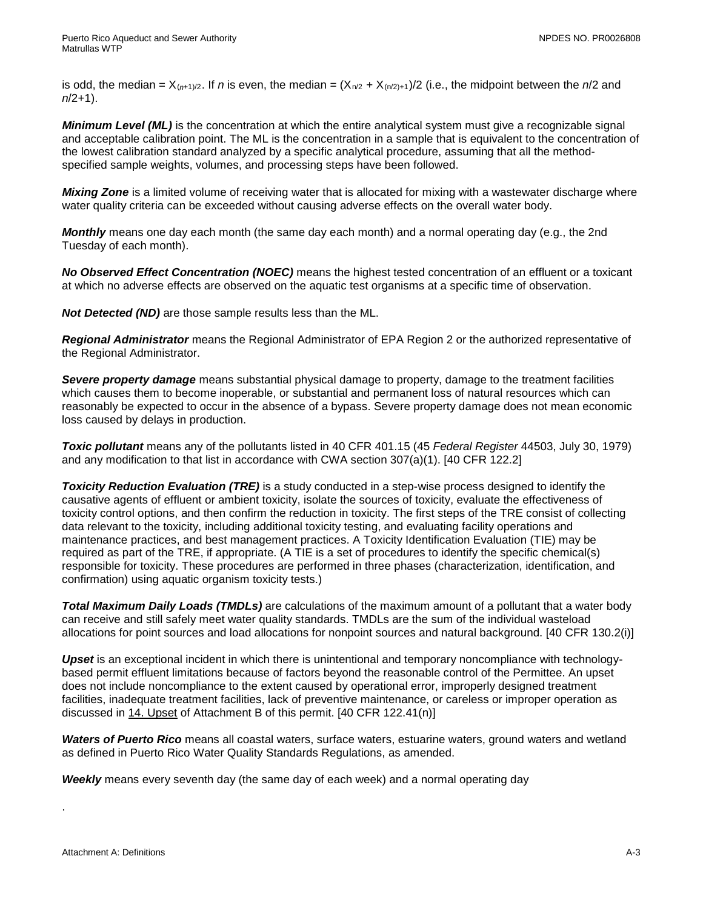is odd, the median =  $X_{(n+1)/2}$ . If *n* is even, the median =  $(X_{n/2} + X_{(n/2)+1})/2$  (i.e., the midpoint between the *n*/2 and *n*/2+1).

*Minimum Level (ML)* is the concentration at which the entire analytical system must give a recognizable signal and acceptable calibration point. The ML is the concentration in a sample that is equivalent to the concentration of the lowest calibration standard analyzed by a specific analytical procedure, assuming that all the methodspecified sample weights, volumes, and processing steps have been followed.

*Mixing Zone* is a limited volume of receiving water that is allocated for mixing with a wastewater discharge where water quality criteria can be exceeded without causing adverse effects on the overall water body.

*Monthly* means one day each month (the same day each month) and a normal operating day (e.g., the 2nd Tuesday of each month).

*No Observed Effect Concentration (NOEC)* means the highest tested concentration of an effluent or a toxicant at which no adverse effects are observed on the aquatic test organisms at a specific time of observation.

*Not Detected (ND)* are those sample results less than the ML.

*Regional Administrator* means the Regional Administrator of EPA Region 2 or the authorized representative of the Regional Administrator.

*Severe property damage* means substantial physical damage to property, damage to the treatment facilities which causes them to become inoperable, or substantial and permanent loss of natural resources which can reasonably be expected to occur in the absence of a bypass. Severe property damage does not mean economic loss caused by delays in production.

*Toxic pollutant* means any of the pollutants listed in 40 CFR 401.15 (45 *Federal Register* 44503, July 30, 1979) and any modification to that list in accordance with CWA section 307(a)(1). [40 CFR 122.2]

**Toxicity Reduction Evaluation (TRE)** is a study conducted in a step-wise process designed to identify the causative agents of effluent or ambient toxicity, isolate the sources of toxicity, evaluate the effectiveness of toxicity control options, and then confirm the reduction in toxicity. The first steps of the TRE consist of collecting data relevant to the toxicity, including additional toxicity testing, and evaluating facility operations and maintenance practices, and best management practices. A Toxicity Identification Evaluation (TIE) may be required as part of the TRE, if appropriate. (A TIE is a set of procedures to identify the specific chemical(s) responsible for toxicity. These procedures are performed in three phases (characterization, identification, and confirmation) using aquatic organism toxicity tests.)

*Total Maximum Daily Loads (TMDLs)* are calculations of the maximum amount of a pollutant that a water body can receive and still safely meet water quality standards. TMDLs are the sum of the individual wasteload allocations for point sources and load allocations for nonpoint sources and natural background. [40 CFR 130.2(i)]

*Upset* is an exceptional incident in which there is unintentional and temporary noncompliance with technologybased permit effluent limitations because of factors beyond the reasonable control of the Permittee. An upset does not include noncompliance to the extent caused by operational error, improperly designed treatment facilities, inadequate treatment facilities, lack of preventive maintenance, or careless or improper operation as discussed in 14. Upset of Attachment B of this permit. [40 CFR 122.41(n)]

*Waters of Puerto Rico* means all coastal waters, surface waters, estuarine waters, ground waters and wetland as defined in Puerto Rico Water Quality Standards Regulations, as amended.

*Weekly* means every seventh day (the same day of each week) and a normal operating day

.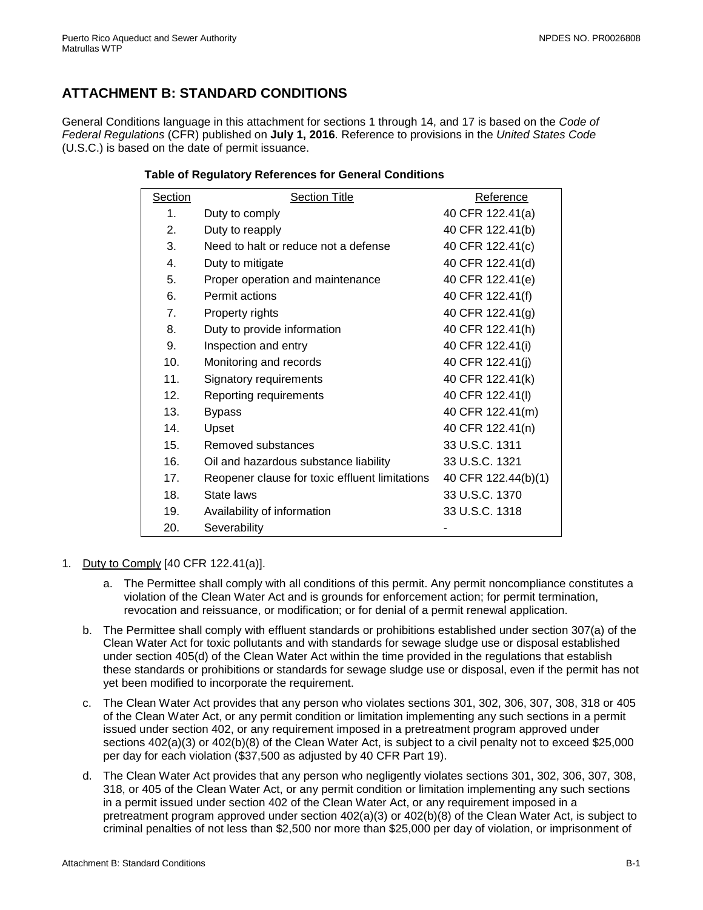# <span id="page-15-0"></span>**ATTACHMENT B: STANDARD CONDITIONS**

General Conditions language in this attachment for sections 1 through 14, and 17 is based on the *Code of Federal Regulations* (CFR) published on **July 1, 2016**. Reference to provisions in the *United States Code* (U.S.C.) is based on the date of permit issuance.

### **Table of Regulatory References for General Conditions**

| Section        | <b>Section Title</b>                           | Reference           |  |
|----------------|------------------------------------------------|---------------------|--|
| $\mathbf{1}$ . | Duty to comply                                 | 40 CFR 122.41(a)    |  |
| 2.             | Duty to reapply                                | 40 CFR 122.41(b)    |  |
| 3.             | Need to halt or reduce not a defense           | 40 CFR 122.41(c)    |  |
| 4.             | Duty to mitigate                               | 40 CFR 122.41(d)    |  |
| 5.             | Proper operation and maintenance               | 40 CFR 122.41(e)    |  |
| 6.             | Permit actions                                 | 40 CFR 122.41(f)    |  |
| 7.             | Property rights                                | 40 CFR 122.41(g)    |  |
| 8.             | Duty to provide information                    | 40 CFR 122.41(h)    |  |
| 9.             | Inspection and entry                           | 40 CFR 122.41(i)    |  |
| 10.            | Monitoring and records                         | 40 CFR 122.41(j)    |  |
| 11.            | Signatory requirements                         | 40 CFR 122.41(k)    |  |
| 12.            | Reporting requirements                         | 40 CFR 122.41(I)    |  |
| 13.            | <b>Bypass</b>                                  | 40 CFR 122.41(m)    |  |
| 14.            | Upset                                          | 40 CFR 122.41(n)    |  |
| 15.            | Removed substances                             | 33 U.S.C. 1311      |  |
| 16.            | Oil and hazardous substance liability          | 33 U.S.C. 1321      |  |
| 17.            | Reopener clause for toxic effluent limitations | 40 CFR 122.44(b)(1) |  |
| 18.            | State laws                                     | 33 U.S.C. 1370      |  |
| 19.            | Availability of information                    | 33 U.S.C. 1318      |  |
| 20.            | Severability                                   |                     |  |

- 1. Duty to Comply [40 CFR 122.41(a)].
	- a. The Permittee shall comply with all conditions of this permit. Any permit noncompliance constitutes a violation of the Clean Water Act and is grounds for enforcement action; for permit termination, revocation and reissuance, or modification; or for denial of a permit renewal application.
	- b. The Permittee shall comply with effluent standards or prohibitions established under section 307(a) of the Clean Water Act for toxic pollutants and with standards for sewage sludge use or disposal established under section 405(d) of the Clean Water Act within the time provided in the regulations that establish these standards or prohibitions or standards for sewage sludge use or disposal, even if the permit has not yet been modified to incorporate the requirement.
	- c. The Clean Water Act provides that any person who violates sections 301, 302, 306, 307, 308, 318 or 405 of the Clean Water Act, or any permit condition or limitation implementing any such sections in a permit issued under section 402, or any requirement imposed in a pretreatment program approved under sections 402(a)(3) or 402(b)(8) of the Clean Water Act, is subject to a civil penalty not to exceed \$25,000 per day for each violation (\$37,500 as adjusted by 40 CFR Part 19).
	- d. The Clean Water Act provides that any person who negligently violates sections 301, 302, 306, 307, 308, 318, or 405 of the Clean Water Act, or any permit condition or limitation implementing any such sections in a permit issued under section 402 of the Clean Water Act, or any requirement imposed in a pretreatment program approved under section 402(a)(3) or 402(b)(8) of the Clean Water Act, is subject to criminal penalties of not less than \$2,500 nor more than \$25,000 per day of violation, or imprisonment of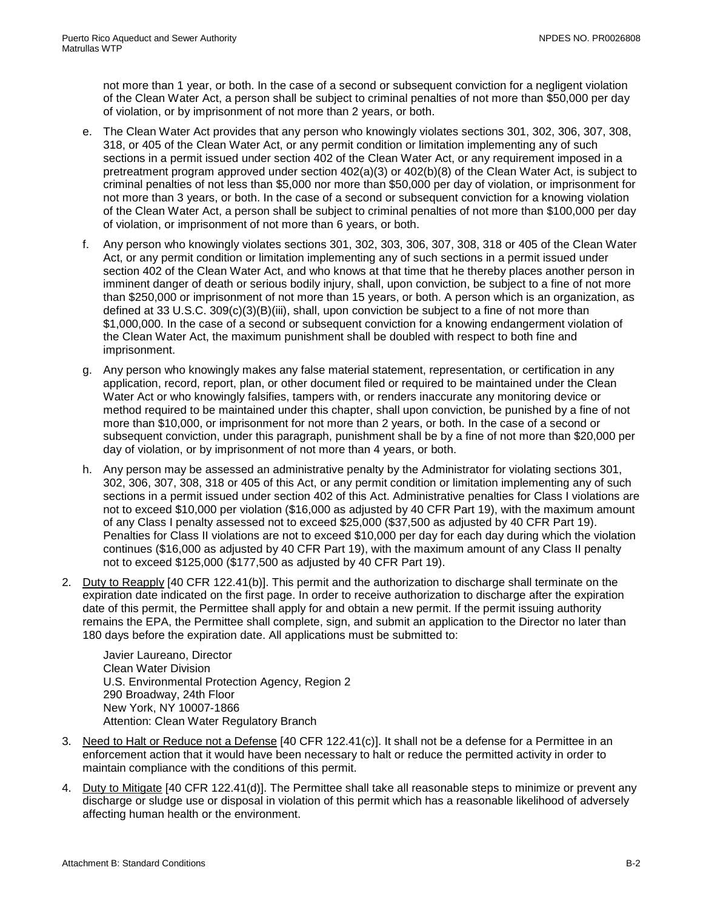not more than 1 year, or both. In the case of a second or subsequent conviction for a negligent violation of the Clean Water Act, a person shall be subject to criminal penalties of not more than \$50,000 per day of violation, or by imprisonment of not more than 2 years, or both.

- e. The Clean Water Act provides that any person who knowingly violates sections 301, 302, 306, 307, 308, 318, or 405 of the Clean Water Act, or any permit condition or limitation implementing any of such sections in a permit issued under section 402 of the Clean Water Act, or any requirement imposed in a pretreatment program approved under section 402(a)(3) or 402(b)(8) of the Clean Water Act, is subject to criminal penalties of not less than \$5,000 nor more than \$50,000 per day of violation, or imprisonment for not more than 3 years, or both. In the case of a second or subsequent conviction for a knowing violation of the Clean Water Act, a person shall be subject to criminal penalties of not more than \$100,000 per day of violation, or imprisonment of not more than 6 years, or both.
- f. Any person who knowingly violates sections 301, 302, 303, 306, 307, 308, 318 or 405 of the Clean Water Act, or any permit condition or limitation implementing any of such sections in a permit issued under section 402 of the Clean Water Act, and who knows at that time that he thereby places another person in imminent danger of death or serious bodily injury, shall, upon conviction, be subject to a fine of not more than \$250,000 or imprisonment of not more than 15 years, or both. A person which is an organization, as defined at 33 U.S.C. 309(c)(3)(B)(iii), shall, upon conviction be subject to a fine of not more than \$1,000,000. In the case of a second or subsequent conviction for a knowing endangerment violation of the Clean Water Act, the maximum punishment shall be doubled with respect to both fine and imprisonment.
- g. Any person who knowingly makes any false material statement, representation, or certification in any application, record, report, plan, or other document filed or required to be maintained under the Clean Water Act or who knowingly falsifies, tampers with, or renders inaccurate any monitoring device or method required to be maintained under this chapter, shall upon conviction, be punished by a fine of not more than \$10,000, or imprisonment for not more than 2 years, or both. In the case of a second or subsequent conviction, under this paragraph, punishment shall be by a fine of not more than \$20,000 per day of violation, or by imprisonment of not more than 4 years, or both.
- h. Any person may be assessed an administrative penalty by the Administrator for violating sections 301, 302, 306, 307, 308, 318 or 405 of this Act, or any permit condition or limitation implementing any of such sections in a permit issued under section 402 of this Act. Administrative penalties for Class I violations are not to exceed \$10,000 per violation (\$16,000 as adjusted by 40 CFR Part 19), with the maximum amount of any Class I penalty assessed not to exceed \$25,000 (\$37,500 as adjusted by 40 CFR Part 19). Penalties for Class II violations are not to exceed \$10,000 per day for each day during which the violation continues (\$16,000 as adjusted by 40 CFR Part 19), with the maximum amount of any Class II penalty not to exceed \$125,000 (\$177,500 as adjusted by 40 CFR Part 19).
- 2. Duty to Reapply [40 CFR 122.41(b)]. This permit and the authorization to discharge shall terminate on the expiration date indicated on the first page. In order to receive authorization to discharge after the expiration date of this permit, the Permittee shall apply for and obtain a new permit. If the permit issuing authority remains the EPA, the Permittee shall complete, sign, and submit an application to the Director no later than 180 days before the expiration date. All applications must be submitted to:

Javier Laureano, Director Clean Water Division U.S. Environmental Protection Agency, Region 2 290 Broadway, 24th Floor New York, NY 10007-1866 Attention: Clean Water Regulatory Branch

- 3. Need to Halt or Reduce not a Defense [40 CFR 122.41(c)]. It shall not be a defense for a Permittee in an enforcement action that it would have been necessary to halt or reduce the permitted activity in order to maintain compliance with the conditions of this permit.
- 4. Duty to Mitigate [40 CFR 122.41(d)]. The Permittee shall take all reasonable steps to minimize or prevent any discharge or sludge use or disposal in violation of this permit which has a reasonable likelihood of adversely affecting human health or the environment.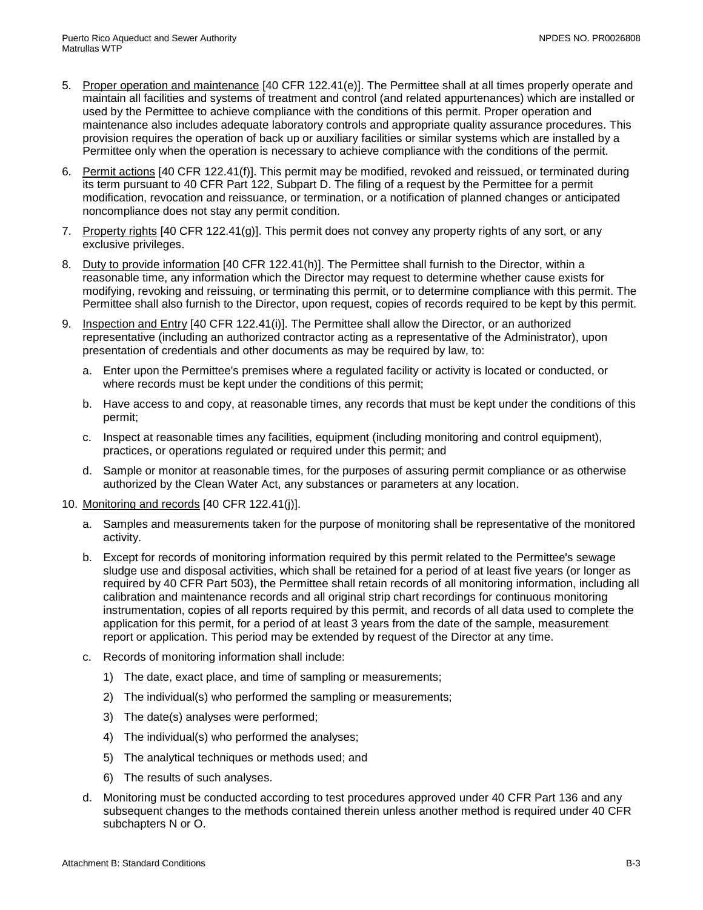- 5. Proper operation and maintenance [40 CFR 122.41(e)]. The Permittee shall at all times properly operate and maintain all facilities and systems of treatment and control (and related appurtenances) which are installed or used by the Permittee to achieve compliance with the conditions of this permit. Proper operation and maintenance also includes adequate laboratory controls and appropriate quality assurance procedures. This provision requires the operation of back up or auxiliary facilities or similar systems which are installed by a Permittee only when the operation is necessary to achieve compliance with the conditions of the permit.
- 6. Permit actions [40 CFR 122.41(f)]. This permit may be modified, revoked and reissued, or terminated during its term pursuant to 40 CFR Part 122, Subpart D. The filing of a request by the Permittee for a permit modification, revocation and reissuance, or termination, or a notification of planned changes or anticipated noncompliance does not stay any permit condition.
- 7. Property rights [40 CFR 122.41(g)]. This permit does not convey any property rights of any sort, or any exclusive privileges.
- 8. Duty to provide information [40 CFR 122.41(h)]. The Permittee shall furnish to the Director, within a reasonable time, any information which the Director may request to determine whether cause exists for modifying, revoking and reissuing, or terminating this permit, or to determine compliance with this permit. The Permittee shall also furnish to the Director, upon request, copies of records required to be kept by this permit.
- 9. Inspection and Entry [40 CFR 122.41(i)]. The Permittee shall allow the Director, or an authorized representative (including an authorized contractor acting as a representative of the Administrator), upon presentation of credentials and other documents as may be required by law, to:
	- a. Enter upon the Permittee's premises where a regulated facility or activity is located or conducted, or where records must be kept under the conditions of this permit;
	- b. Have access to and copy, at reasonable times, any records that must be kept under the conditions of this permit;
	- c. Inspect at reasonable times any facilities, equipment (including monitoring and control equipment), practices, or operations regulated or required under this permit; and
	- d. Sample or monitor at reasonable times, for the purposes of assuring permit compliance or as otherwise authorized by the Clean Water Act, any substances or parameters at any location.
- 10. Monitoring and records [40 CFR 122.41(j)].
	- a. Samples and measurements taken for the purpose of monitoring shall be representative of the monitored activity.
	- b. Except for records of monitoring information required by this permit related to the Permittee's sewage sludge use and disposal activities, which shall be retained for a period of at least five years (or longer as required by 40 CFR Part 503), the Permittee shall retain records of all monitoring information, including all calibration and maintenance records and all original strip chart recordings for continuous monitoring instrumentation, copies of all reports required by this permit, and records of all data used to complete the application for this permit, for a period of at least 3 years from the date of the sample, measurement report or application. This period may be extended by request of the Director at any time.
	- c. Records of monitoring information shall include:
		- 1) The date, exact place, and time of sampling or measurements;
		- 2) The individual(s) who performed the sampling or measurements;
		- 3) The date(s) analyses were performed;
		- 4) The individual(s) who performed the analyses;
		- 5) The analytical techniques or methods used; and
		- 6) The results of such analyses.
	- d. Monitoring must be conducted according to test procedures approved under 40 CFR Part 136 and any subsequent changes to the methods contained therein unless another method is required under 40 CFR subchapters N or O.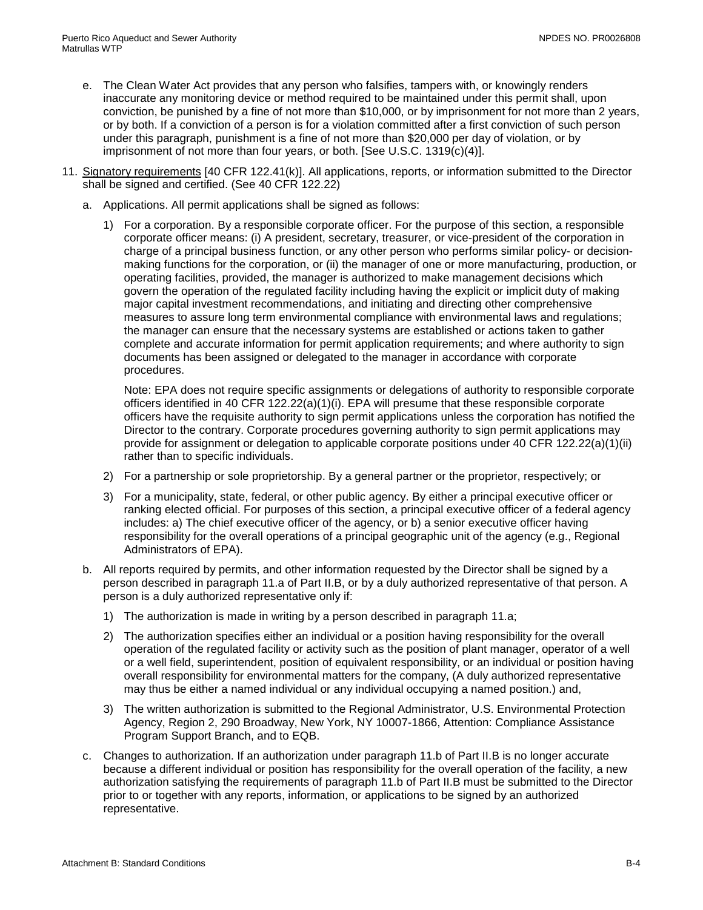- e. The Clean Water Act provides that any person who falsifies, tampers with, or knowingly renders inaccurate any monitoring device or method required to be maintained under this permit shall, upon conviction, be punished by a fine of not more than \$10,000, or by imprisonment for not more than 2 years, or by both. If a conviction of a person is for a violation committed after a first conviction of such person under this paragraph, punishment is a fine of not more than \$20,000 per day of violation, or by imprisonment of not more than four years, or both. [See U.S.C. 1319(c)(4)].
- 11. Signatory requirements [40 CFR 122.41(k)]. All applications, reports, or information submitted to the Director shall be signed and certified. (See 40 CFR 122.22)
	- a. Applications. All permit applications shall be signed as follows:
		- 1) For a corporation. By a responsible corporate officer. For the purpose of this section, a responsible corporate officer means: (i) A president, secretary, treasurer, or vice-president of the corporation in charge of a principal business function, or any other person who performs similar policy- or decisionmaking functions for the corporation, or (ii) the manager of one or more manufacturing, production, or operating facilities, provided, the manager is authorized to make management decisions which govern the operation of the regulated facility including having the explicit or implicit duty of making major capital investment recommendations, and initiating and directing other comprehensive measures to assure long term environmental compliance with environmental laws and regulations; the manager can ensure that the necessary systems are established or actions taken to gather complete and accurate information for permit application requirements; and where authority to sign documents has been assigned or delegated to the manager in accordance with corporate procedures.

Note: EPA does not require specific assignments or delegations of authority to responsible corporate officers identified in 40 CFR 122.22(a)(1)(i). EPA will presume that these responsible corporate officers have the requisite authority to sign permit applications unless the corporation has notified the Director to the contrary. Corporate procedures governing authority to sign permit applications may provide for assignment or delegation to applicable corporate positions under 40 CFR 122.22(a)(1)(ii) rather than to specific individuals.

- 2) For a partnership or sole proprietorship. By a general partner or the proprietor, respectively; or
- 3) For a municipality, state, federal, or other public agency. By either a principal executive officer or ranking elected official. For purposes of this section, a principal executive officer of a federal agency includes: a) The chief executive officer of the agency, or b) a senior executive officer having responsibility for the overall operations of a principal geographic unit of the agency (e.g., Regional Administrators of EPA).
- b. All reports required by permits, and other information requested by the Director shall be signed by a person described in paragraph 11.a of Part II.B, or by a duly authorized representative of that person. A person is a duly authorized representative only if:
	- 1) The authorization is made in writing by a person described in paragraph 11.a;
	- 2) The authorization specifies either an individual or a position having responsibility for the overall operation of the regulated facility or activity such as the position of plant manager, operator of a well or a well field, superintendent, position of equivalent responsibility, or an individual or position having overall responsibility for environmental matters for the company, (A duly authorized representative may thus be either a named individual or any individual occupying a named position.) and,
	- 3) The written authorization is submitted to the Regional Administrator, U.S. Environmental Protection Agency, Region 2, 290 Broadway, New York, NY 10007-1866, Attention: Compliance Assistance Program Support Branch, and to EQB.
- c. Changes to authorization. If an authorization under paragraph 11.b of Part II.B is no longer accurate because a different individual or position has responsibility for the overall operation of the facility, a new authorization satisfying the requirements of paragraph 11.b of Part II.B must be submitted to the Director prior to or together with any reports, information, or applications to be signed by an authorized representative.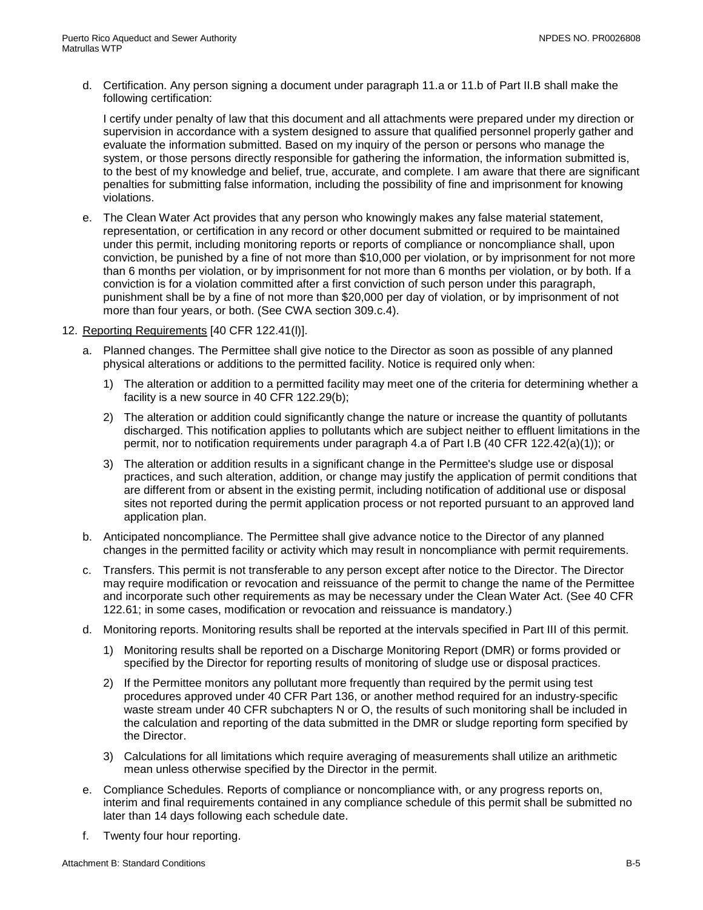d. Certification. Any person signing a document under paragraph 11.a or 11.b of Part II.B shall make the following certification:

I certify under penalty of law that this document and all attachments were prepared under my direction or supervision in accordance with a system designed to assure that qualified personnel properly gather and evaluate the information submitted. Based on my inquiry of the person or persons who manage the system, or those persons directly responsible for gathering the information, the information submitted is, to the best of my knowledge and belief, true, accurate, and complete. I am aware that there are significant penalties for submitting false information, including the possibility of fine and imprisonment for knowing violations.

- e. The Clean Water Act provides that any person who knowingly makes any false material statement, representation, or certification in any record or other document submitted or required to be maintained under this permit, including monitoring reports or reports of compliance or noncompliance shall, upon conviction, be punished by a fine of not more than \$10,000 per violation, or by imprisonment for not more than 6 months per violation, or by imprisonment for not more than 6 months per violation, or by both. If a conviction is for a violation committed after a first conviction of such person under this paragraph, punishment shall be by a fine of not more than \$20,000 per day of violation, or by imprisonment of not more than four years, or both. (See CWA section 309.c.4).
- 12. Reporting Requirements [40 CFR 122.41(l)].
	- a. Planned changes. The Permittee shall give notice to the Director as soon as possible of any planned physical alterations or additions to the permitted facility. Notice is required only when:
		- 1) The alteration or addition to a permitted facility may meet one of the criteria for determining whether a facility is a new source in 40 CFR 122.29(b);
		- 2) The alteration or addition could significantly change the nature or increase the quantity of pollutants discharged. This notification applies to pollutants which are subject neither to effluent limitations in the permit, nor to notification requirements under paragraph 4.a of Part I.B (40 CFR 122.42(a)(1)); or
		- 3) The alteration or addition results in a significant change in the Permittee's sludge use or disposal practices, and such alteration, addition, or change may justify the application of permit conditions that are different from or absent in the existing permit, including notification of additional use or disposal sites not reported during the permit application process or not reported pursuant to an approved land application plan.
	- b. Anticipated noncompliance. The Permittee shall give advance notice to the Director of any planned changes in the permitted facility or activity which may result in noncompliance with permit requirements.
	- c. Transfers. This permit is not transferable to any person except after notice to the Director. The Director may require modification or revocation and reissuance of the permit to change the name of the Permittee and incorporate such other requirements as may be necessary under the Clean Water Act. (See 40 CFR 122.61; in some cases, modification or revocation and reissuance is mandatory.)
	- d. Monitoring reports. Monitoring results shall be reported at the intervals specified in Part III of this permit.
		- 1) Monitoring results shall be reported on a Discharge Monitoring Report (DMR) or forms provided or specified by the Director for reporting results of monitoring of sludge use or disposal practices.
		- 2) If the Permittee monitors any pollutant more frequently than required by the permit using test procedures approved under 40 CFR Part 136, or another method required for an industry-specific waste stream under 40 CFR subchapters N or O, the results of such monitoring shall be included in the calculation and reporting of the data submitted in the DMR or sludge reporting form specified by the Director.
		- 3) Calculations for all limitations which require averaging of measurements shall utilize an arithmetic mean unless otherwise specified by the Director in the permit.
	- e. Compliance Schedules. Reports of compliance or noncompliance with, or any progress reports on, interim and final requirements contained in any compliance schedule of this permit shall be submitted no later than 14 days following each schedule date.
	- f. Twenty four hour reporting.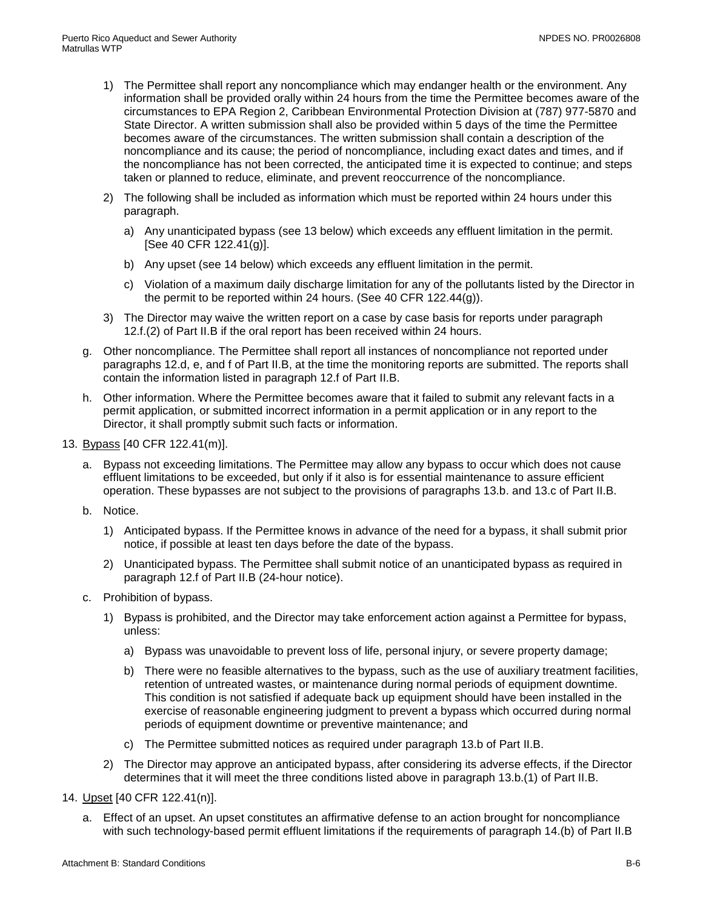- 1) The Permittee shall report any noncompliance which may endanger health or the environment. Any information shall be provided orally within 24 hours from the time the Permittee becomes aware of the circumstances to EPA Region 2, Caribbean Environmental Protection Division at (787) 977-5870 and State Director. A written submission shall also be provided within 5 days of the time the Permittee becomes aware of the circumstances. The written submission shall contain a description of the noncompliance and its cause; the period of noncompliance, including exact dates and times, and if the noncompliance has not been corrected, the anticipated time it is expected to continue; and steps taken or planned to reduce, eliminate, and prevent reoccurrence of the noncompliance.
- 2) The following shall be included as information which must be reported within 24 hours under this paragraph.
	- a) Any unanticipated bypass (see 13 below) which exceeds any effluent limitation in the permit. [See 40 CFR 122.41(g)].
	- b) Any upset (see 14 below) which exceeds any effluent limitation in the permit.
	- c) Violation of a maximum daily discharge limitation for any of the pollutants listed by the Director in the permit to be reported within 24 hours. (See 40 CFR 122.44(g)).
- 3) The Director may waive the written report on a case by case basis for reports under paragraph 12.f.(2) of Part II.B if the oral report has been received within 24 hours.
- g. Other noncompliance. The Permittee shall report all instances of noncompliance not reported under paragraphs 12.d, e, and f of Part II.B, at the time the monitoring reports are submitted. The reports shall contain the information listed in paragraph 12.f of Part II.B.
- h. Other information. Where the Permittee becomes aware that it failed to submit any relevant facts in a permit application, or submitted incorrect information in a permit application or in any report to the Director, it shall promptly submit such facts or information.
- 13. Bypass [40 CFR 122.41(m)].
	- a. Bypass not exceeding limitations. The Permittee may allow any bypass to occur which does not cause effluent limitations to be exceeded, but only if it also is for essential maintenance to assure efficient operation. These bypasses are not subject to the provisions of paragraphs 13.b. and 13.c of Part II.B.
	- b. Notice.
		- 1) Anticipated bypass. If the Permittee knows in advance of the need for a bypass, it shall submit prior notice, if possible at least ten days before the date of the bypass.
		- 2) Unanticipated bypass. The Permittee shall submit notice of an unanticipated bypass as required in paragraph 12.f of Part II.B (24-hour notice).
	- c. Prohibition of bypass.
		- 1) Bypass is prohibited, and the Director may take enforcement action against a Permittee for bypass, unless:
			- a) Bypass was unavoidable to prevent loss of life, personal injury, or severe property damage;
			- b) There were no feasible alternatives to the bypass, such as the use of auxiliary treatment facilities, retention of untreated wastes, or maintenance during normal periods of equipment downtime. This condition is not satisfied if adequate back up equipment should have been installed in the exercise of reasonable engineering judgment to prevent a bypass which occurred during normal periods of equipment downtime or preventive maintenance; and
			- c) The Permittee submitted notices as required under paragraph 13.b of Part II.B.
		- 2) The Director may approve an anticipated bypass, after considering its adverse effects, if the Director determines that it will meet the three conditions listed above in paragraph 13.b.(1) of Part II.B.
- 14. Upset [40 CFR 122.41(n)].
	- a. Effect of an upset. An upset constitutes an affirmative defense to an action brought for noncompliance with such technology-based permit effluent limitations if the requirements of paragraph 14.(b) of Part II.B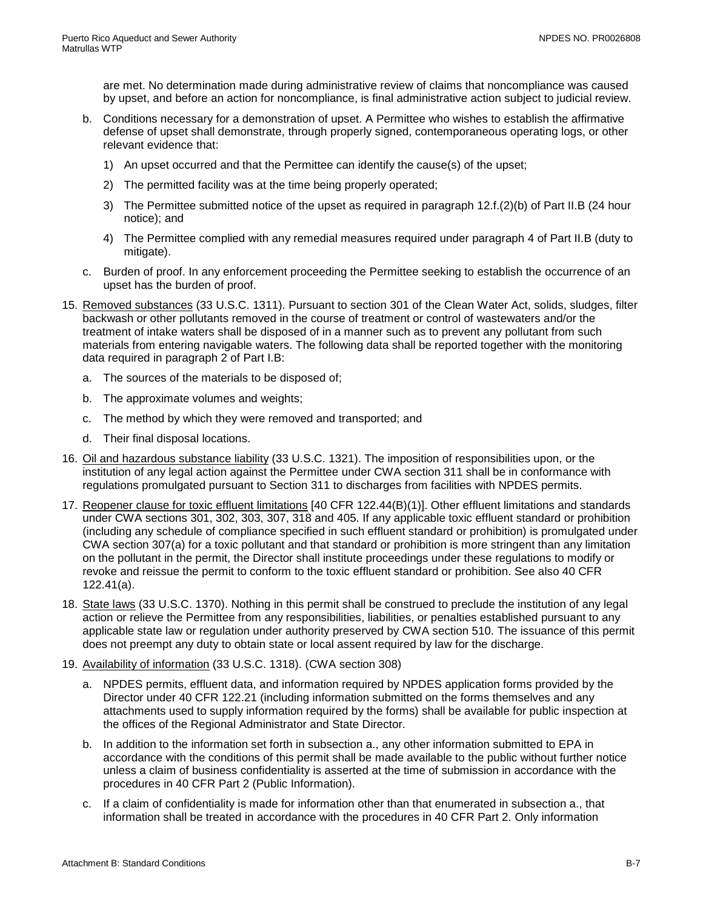are met. No determination made during administrative review of claims that noncompliance was caused by upset, and before an action for noncompliance, is final administrative action subject to judicial review.

- b. Conditions necessary for a demonstration of upset. A Permittee who wishes to establish the affirmative defense of upset shall demonstrate, through properly signed, contemporaneous operating logs, or other relevant evidence that:
	- 1) An upset occurred and that the Permittee can identify the cause(s) of the upset;
	- 2) The permitted facility was at the time being properly operated;
	- 3) The Permittee submitted notice of the upset as required in paragraph 12.f.(2)(b) of Part II.B (24 hour notice); and
	- 4) The Permittee complied with any remedial measures required under paragraph 4 of Part II.B (duty to mitigate).
- c. Burden of proof. In any enforcement proceeding the Permittee seeking to establish the occurrence of an upset has the burden of proof.
- 15. Removed substances (33 U.S.C. 1311). Pursuant to section 301 of the Clean Water Act, solids, sludges, filter backwash or other pollutants removed in the course of treatment or control of wastewaters and/or the treatment of intake waters shall be disposed of in a manner such as to prevent any pollutant from such materials from entering navigable waters. The following data shall be reported together with the monitoring data required in paragraph 2 of Part I.B:
	- a. The sources of the materials to be disposed of;
	- b. The approximate volumes and weights;
	- c. The method by which they were removed and transported; and
	- d. Their final disposal locations.
- 16. Oil and hazardous substance liability (33 U.S.C. 1321). The imposition of responsibilities upon, or the institution of any legal action against the Permittee under CWA section 311 shall be in conformance with regulations promulgated pursuant to Section 311 to discharges from facilities with NPDES permits.
- 17. Reopener clause for toxic effluent limitations [40 CFR 122.44(B)(1)]. Other effluent limitations and standards under CWA sections 301, 302, 303, 307, 318 and 405. If any applicable toxic effluent standard or prohibition (including any schedule of compliance specified in such effluent standard or prohibition) is promulgated under CWA section 307(a) for a toxic pollutant and that standard or prohibition is more stringent than any limitation on the pollutant in the permit, the Director shall institute proceedings under these regulations to modify or revoke and reissue the permit to conform to the toxic effluent standard or prohibition. See also 40 CFR 122.41(a).
- 18. State laws (33 U.S.C. 1370). Nothing in this permit shall be construed to preclude the institution of any legal action or relieve the Permittee from any responsibilities, liabilities, or penalties established pursuant to any applicable state law or regulation under authority preserved by CWA section 510. The issuance of this permit does not preempt any duty to obtain state or local assent required by law for the discharge.
- 19. Availability of information (33 U.S.C. 1318). (CWA section 308)
	- a. NPDES permits, effluent data, and information required by NPDES application forms provided by the Director under 40 CFR 122.21 (including information submitted on the forms themselves and any attachments used to supply information required by the forms) shall be available for public inspection at the offices of the Regional Administrator and State Director.
	- b. In addition to the information set forth in subsection a., any other information submitted to EPA in accordance with the conditions of this permit shall be made available to the public without further notice unless a claim of business confidentiality is asserted at the time of submission in accordance with the procedures in 40 CFR Part 2 (Public Information).
	- c. If a claim of confidentiality is made for information other than that enumerated in subsection a., that information shall be treated in accordance with the procedures in 40 CFR Part 2. Only information